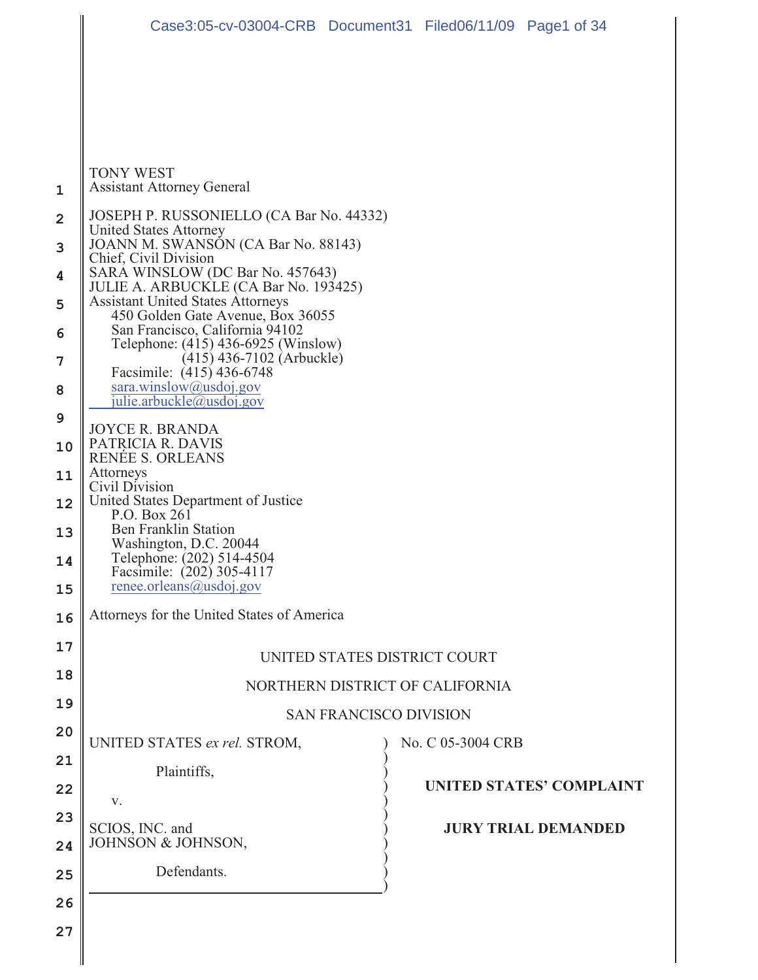|                | Case3:05-cv-03004-CRB Document31 Filed06/11/09 Page1 of 34                                                                                                                                                                                                                                                                                                                                                                                                          |  |                            |                                 |  |  |  |  |
|----------------|---------------------------------------------------------------------------------------------------------------------------------------------------------------------------------------------------------------------------------------------------------------------------------------------------------------------------------------------------------------------------------------------------------------------------------------------------------------------|--|----------------------------|---------------------------------|--|--|--|--|
|                |                                                                                                                                                                                                                                                                                                                                                                                                                                                                     |  |                            |                                 |  |  |  |  |
|                |                                                                                                                                                                                                                                                                                                                                                                                                                                                                     |  |                            |                                 |  |  |  |  |
|                |                                                                                                                                                                                                                                                                                                                                                                                                                                                                     |  |                            |                                 |  |  |  |  |
| 1              | <b>TONY WEST</b><br><b>Assistant Attorney General</b>                                                                                                                                                                                                                                                                                                                                                                                                               |  |                            |                                 |  |  |  |  |
| $\overline{2}$ | JOSEPH P. RUSSONIELLO (CA Bar No. 44332)                                                                                                                                                                                                                                                                                                                                                                                                                            |  |                            |                                 |  |  |  |  |
| 3              | <b>United States Attorney</b><br>JOANN M. SWANSON (CA Bar No. 88143)<br>Chief, Civil Division                                                                                                                                                                                                                                                                                                                                                                       |  |                            |                                 |  |  |  |  |
| 4              | SARA WINSLOW (DC Bar No. 457643)<br>JULIE A. ARBUCKLE (CA Bar No. 193425)<br><b>Assistant United States Attorneys</b><br>450 Golden Gate Avenue, Box 36055<br>San Francisco, California 94102<br>Telephone: (415) 436-6925 (Winslow)                                                                                                                                                                                                                                |  |                            |                                 |  |  |  |  |
| 5              |                                                                                                                                                                                                                                                                                                                                                                                                                                                                     |  |                            |                                 |  |  |  |  |
| 6              |                                                                                                                                                                                                                                                                                                                                                                                                                                                                     |  |                            |                                 |  |  |  |  |
| 7              | $(415)$ 436-7102 (Arbuckle)<br>Facsimile: (415) 436-6748<br>sara.winslow@usdoj.gov<br>julie.arbuckle@usdoj.gov<br><b>JOYCE R. BRANDA</b><br>PATRICIA R. DAVIS<br>RENÉE S. ORLEANS<br>Attorneys<br>Civil Division<br>United States Department of Justice<br>P.O. Box 261<br><b>Ben Franklin Station</b><br>Washington, D.C. 20044<br>Telephone: (202) 514-4504<br>Facsimile: (202) 305-4117<br>renee.orleans@usdoj.gov<br>Attorneys for the United States of America |  |                            |                                 |  |  |  |  |
| 8              |                                                                                                                                                                                                                                                                                                                                                                                                                                                                     |  |                            |                                 |  |  |  |  |
| 9<br>10        |                                                                                                                                                                                                                                                                                                                                                                                                                                                                     |  |                            |                                 |  |  |  |  |
| 11             |                                                                                                                                                                                                                                                                                                                                                                                                                                                                     |  |                            |                                 |  |  |  |  |
| 12             |                                                                                                                                                                                                                                                                                                                                                                                                                                                                     |  |                            |                                 |  |  |  |  |
| 13             |                                                                                                                                                                                                                                                                                                                                                                                                                                                                     |  |                            |                                 |  |  |  |  |
| 14             |                                                                                                                                                                                                                                                                                                                                                                                                                                                                     |  |                            |                                 |  |  |  |  |
| 15             |                                                                                                                                                                                                                                                                                                                                                                                                                                                                     |  |                            |                                 |  |  |  |  |
| 16             |                                                                                                                                                                                                                                                                                                                                                                                                                                                                     |  |                            |                                 |  |  |  |  |
| 17             | UNITED STATES DISTRICT COURT                                                                                                                                                                                                                                                                                                                                                                                                                                        |  |                            |                                 |  |  |  |  |
| 18             | NORTHERN DISTRICT OF CALIFORNIA                                                                                                                                                                                                                                                                                                                                                                                                                                     |  |                            |                                 |  |  |  |  |
| 19             | <b>SAN FRANCISCO DIVISION</b>                                                                                                                                                                                                                                                                                                                                                                                                                                       |  |                            |                                 |  |  |  |  |
| 20             | UNITED STATES ex rel. STROM,                                                                                                                                                                                                                                                                                                                                                                                                                                        |  | No. C 05-3004 CRB          |                                 |  |  |  |  |
| 21             | Plaintiffs,                                                                                                                                                                                                                                                                                                                                                                                                                                                         |  |                            | <b>UNITED STATES' COMPLAINT</b> |  |  |  |  |
| 22<br>23       | V.                                                                                                                                                                                                                                                                                                                                                                                                                                                                  |  |                            |                                 |  |  |  |  |
| 24             | SCIOS, INC. and<br>JOHNSON & JOHNSON,                                                                                                                                                                                                                                                                                                                                                                                                                               |  | <b>JURY TRIAL DEMANDED</b> |                                 |  |  |  |  |
| 25             | Defendants.                                                                                                                                                                                                                                                                                                                                                                                                                                                         |  |                            |                                 |  |  |  |  |
| 26             |                                                                                                                                                                                                                                                                                                                                                                                                                                                                     |  |                            |                                 |  |  |  |  |
| 27             |                                                                                                                                                                                                                                                                                                                                                                                                                                                                     |  |                            |                                 |  |  |  |  |
|                |                                                                                                                                                                                                                                                                                                                                                                                                                                                                     |  |                            |                                 |  |  |  |  |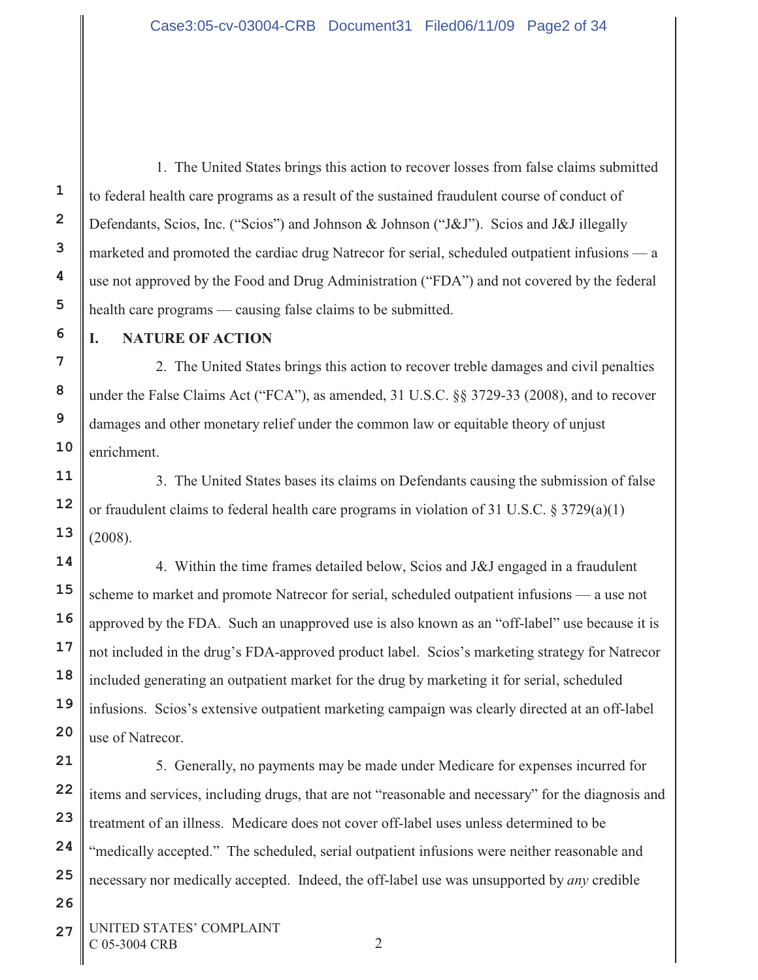1. The United States brings this action to recover losses from false claims submitted to federal health care programs as a result of the sustained fraudulent course of conduct of Defendants, Scios, Inc. ("Scios") and Johnson & Johnson ("J&J"). Scios and J&J illegally marketed and promoted the cardiac drug Natrecor for serial, scheduled outpatient infusions — a use not approved by the Food and Drug Administration ("FDA") and not covered by the federal health care programs — causing false claims to be submitted.

# **I. NATURE OF ACTION**

**1**

**2**

**3**

**4**

**5**

**6**

**7**

**8**

**9**

**10**

**11**

**12**

**13**

**14**

**15**

**16**

**17**

**18**

**19**

**20**

**21**

**22**

**23**

**24**

**25**

**26**

2. The United States brings this action to recover treble damages and civil penalties under the False Claims Act ("FCA"), as amended, 31 U.S.C. §§ 3729-33 (2008), and to recover damages and other monetary relief under the common law or equitable theory of unjust enrichment.

3. The United States bases its claims on Defendants causing the submission of false or fraudulent claims to federal health care programs in violation of 31 U.S.C.  $\S 3729(a)(1)$ (2008).

4. Within the time frames detailed below, Scios and J&J engaged in a fraudulent scheme to market and promote Natrecor for serial, scheduled outpatient infusions — a use not approved by the FDA. Such an unapproved use is also known as an "off-label" use because it is not included in the drug's FDA-approved product label. Scios's marketing strategy for Natrecor included generating an outpatient market for the drug by marketing it for serial, scheduled infusions. Scios's extensive outpatient marketing campaign was clearly directed at an off-label use of Natrecor.

5. Generally, no payments may be made under Medicare for expenses incurred for items and services, including drugs, that are not "reasonable and necessary" for the diagnosis and treatment of an illness. Medicare does not cover off-label uses unless determined to be "medically accepted." The scheduled, serial outpatient infusions were neither reasonable and necessary nor medically accepted. Indeed, the off-label use was unsupported by *any* credible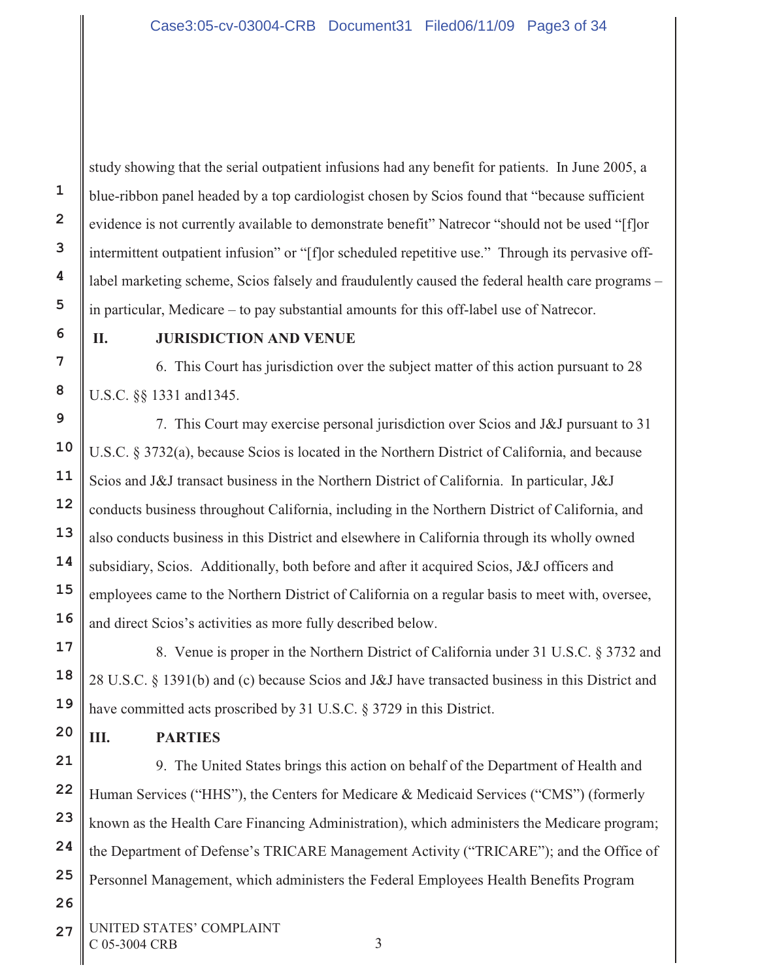study showing that the serial outpatient infusions had any benefit for patients. In June 2005, a blue-ribbon panel headed by a top cardiologist chosen by Scios found that "because sufficient evidence is not currently available to demonstrate benefit" Natrecor "should not be used "[f]or intermittent outpatient infusion" or "[f]or scheduled repetitive use." Through its pervasive offlabel marketing scheme, Scios falsely and fraudulently caused the federal health care programs – in particular, Medicare – to pay substantial amounts for this off-label use of Natrecor.

## **II. JURISDICTION AND VENUE**

6. This Court has jurisdiction over the subject matter of this action pursuant to 28 U.S.C. §§ 1331 and1345.

7. This Court may exercise personal jurisdiction over Scios and J&J pursuant to 31 U.S.C. § 3732(a), because Scios is located in the Northern District of California, and because Scios and J&J transact business in the Northern District of California. In particular, J&J conducts business throughout California, including in the Northern District of California, and also conducts business in this District and elsewhere in California through its wholly owned subsidiary, Scios. Additionally, both before and after it acquired Scios, J&J officers and employees came to the Northern District of California on a regular basis to meet with, oversee, and direct Scios's activities as more fully described below.

8. Venue is proper in the Northern District of California under 31 U.S.C. § 3732 and 28 U.S.C. § 1391(b) and (c) because Scios and J&J have transacted business in this District and have committed acts proscribed by 31 U.S.C. § 3729 in this District.

# **III. PARTIES**

9. The United States brings this action on behalf of the Department of Health and Human Services ("HHS"), the Centers for Medicare & Medicaid Services ("CMS") (formerly known as the Health Care Financing Administration), which administers the Medicare program; the Department of Defense's TRICARE Management Activity ("TRICARE"); and the Office of Personnel Management, which administers the Federal Employees Health Benefits Program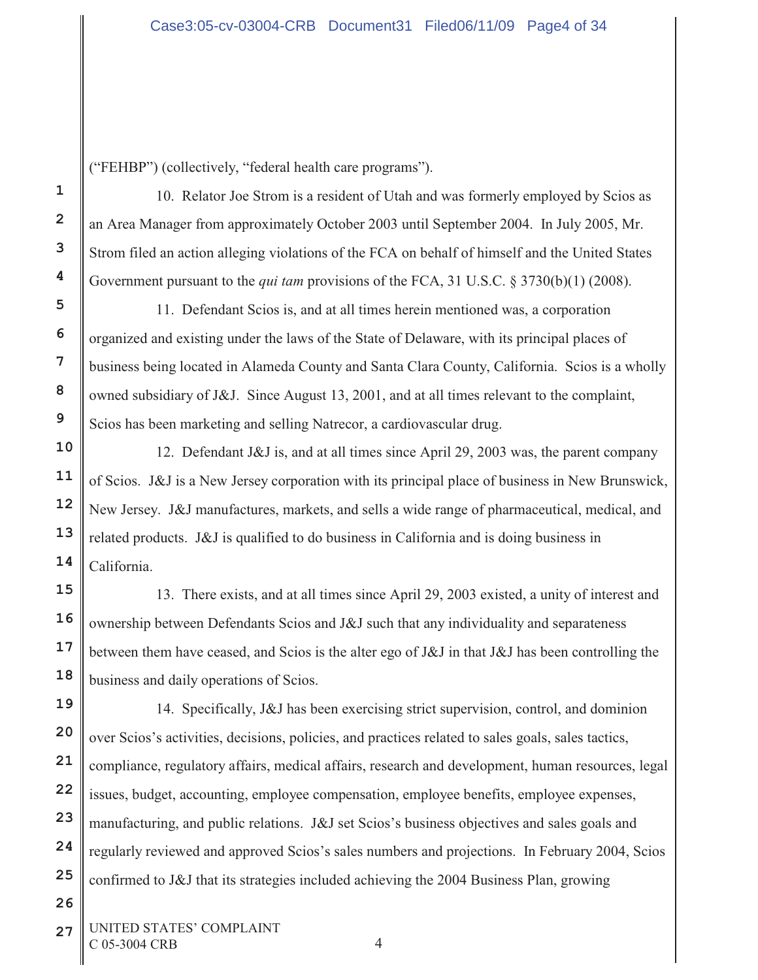("FEHBP") (collectively, "federal health care programs").

**1**

**2**

**3**

**4**

**5**

**6**

**7**

**8**

**9**

**10**

**11**

**12**

**13**

**14**

**15**

**16**

**17**

**18**

**19**

**26**

10. Relator Joe Strom is a resident of Utah and was formerly employed by Scios as an Area Manager from approximately October 2003 until September 2004. In July 2005, Mr. Strom filed an action alleging violations of the FCA on behalf of himself and the United States Government pursuant to the *qui tam* provisions of the FCA, 31 U.S.C. § 3730(b)(1) (2008).

11. Defendant Scios is, and at all times herein mentioned was, a corporation organized and existing under the laws of the State of Delaware, with its principal places of business being located in Alameda County and Santa Clara County, California. Scios is a wholly owned subsidiary of J&J. Since August 13, 2001, and at all times relevant to the complaint, Scios has been marketing and selling Natrecor, a cardiovascular drug.

12. Defendant J&J is, and at all times since April 29, 2003 was, the parent company of Scios. J&J is a New Jersey corporation with its principal place of business in New Brunswick, New Jersey. J&J manufactures, markets, and sells a wide range of pharmaceutical, medical, and related products. J&J is qualified to do business in California and is doing business in California.

13. There exists, and at all times since April 29, 2003 existed, a unity of interest and ownership between Defendants Scios and J&J such that any individuality and separateness between them have ceased, and Scios is the alter ego of J&J in that J&J has been controlling the business and daily operations of Scios.

**20 21 22 23 24 25** 14. Specifically, J&J has been exercising strict supervision, control, and dominion over Scios's activities, decisions, policies, and practices related to sales goals, sales tactics, compliance, regulatory affairs, medical affairs, research and development, human resources, legal issues, budget, accounting, employee compensation, employee benefits, employee expenses, manufacturing, and public relations. J&J set Scios's business objectives and sales goals and regularly reviewed and approved Scios's sales numbers and projections. In February 2004, Scios confirmed to J&J that its strategies included achieving the 2004 Business Plan, growing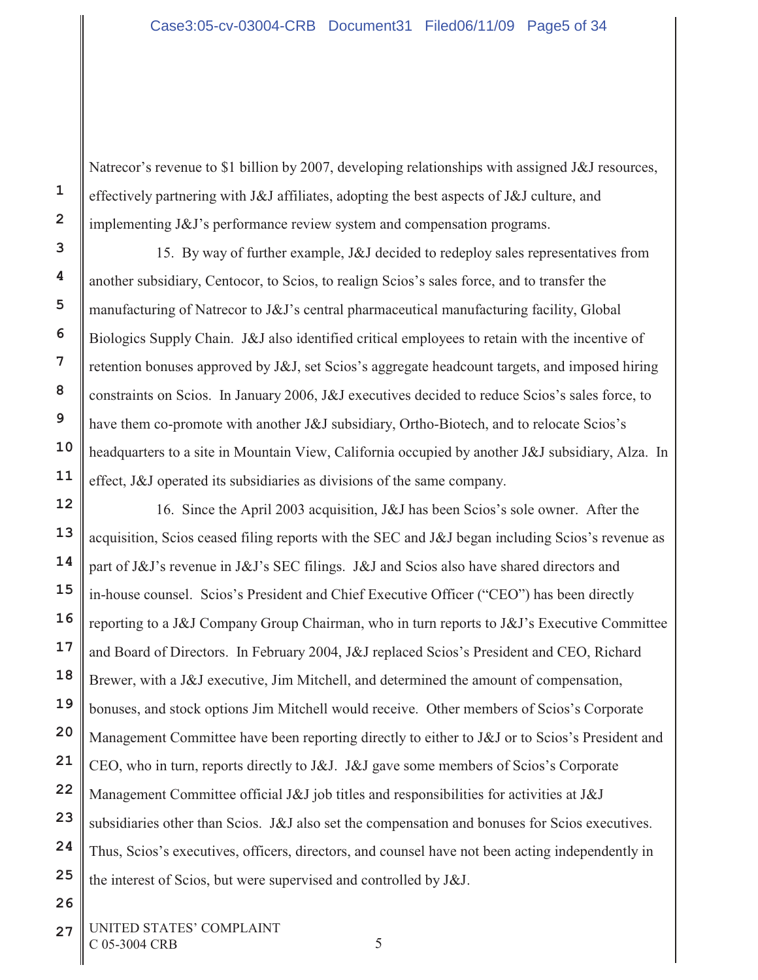Natrecor's revenue to \$1 billion by 2007, developing relationships with assigned J&J resources, effectively partnering with J&J affiliates, adopting the best aspects of J&J culture, and implementing J&J's performance review system and compensation programs.

15. By way of further example, J&J decided to redeploy sales representatives from another subsidiary, Centocor, to Scios, to realign Scios's sales force, and to transfer the manufacturing of Natrecor to J&J's central pharmaceutical manufacturing facility, Global Biologics Supply Chain. J&J also identified critical employees to retain with the incentive of retention bonuses approved by J&J, set Scios's aggregate headcount targets, and imposed hiring constraints on Scios. In January 2006, J&J executives decided to reduce Scios's sales force, to have them co-promote with another J&J subsidiary, Ortho-Biotech, and to relocate Scios's headquarters to a site in Mountain View, California occupied by another J&J subsidiary, Alza. In effect, J&J operated its subsidiaries as divisions of the same company.

**12 13 14 15 16 18 19 21 22 23 24 25** 16. Since the April 2003 acquisition, J&J has been Scios's sole owner. After the acquisition, Scios ceased filing reports with the SEC and J&J began including Scios's revenue as part of J&J's revenue in J&J's SEC filings. J&J and Scios also have shared directors and in-house counsel. Scios's President and Chief Executive Officer ("CEO") has been directly reporting to a J&J Company Group Chairman, who in turn reports to J&J's Executive Committee and Board of Directors. In February 2004, J&J replaced Scios's President and CEO, Richard Brewer, with a J&J executive, Jim Mitchell, and determined the amount of compensation, bonuses, and stock options Jim Mitchell would receive. Other members of Scios's Corporate Management Committee have been reporting directly to either to J&J or to Scios's President and CEO, who in turn, reports directly to J&J. J&J gave some members of Scios's Corporate Management Committee official J&J job titles and responsibilities for activities at J&J subsidiaries other than Scios. J&J also set the compensation and bonuses for Scios executives. Thus, Scios's executives, officers, directors, and counsel have not been acting independently in the interest of Scios, but were supervised and controlled by J&J.

**1**

**2**

**3**

**4**

**5**

**6**

**7**

**8**

**9**

**10**

**11**

**17**

**20**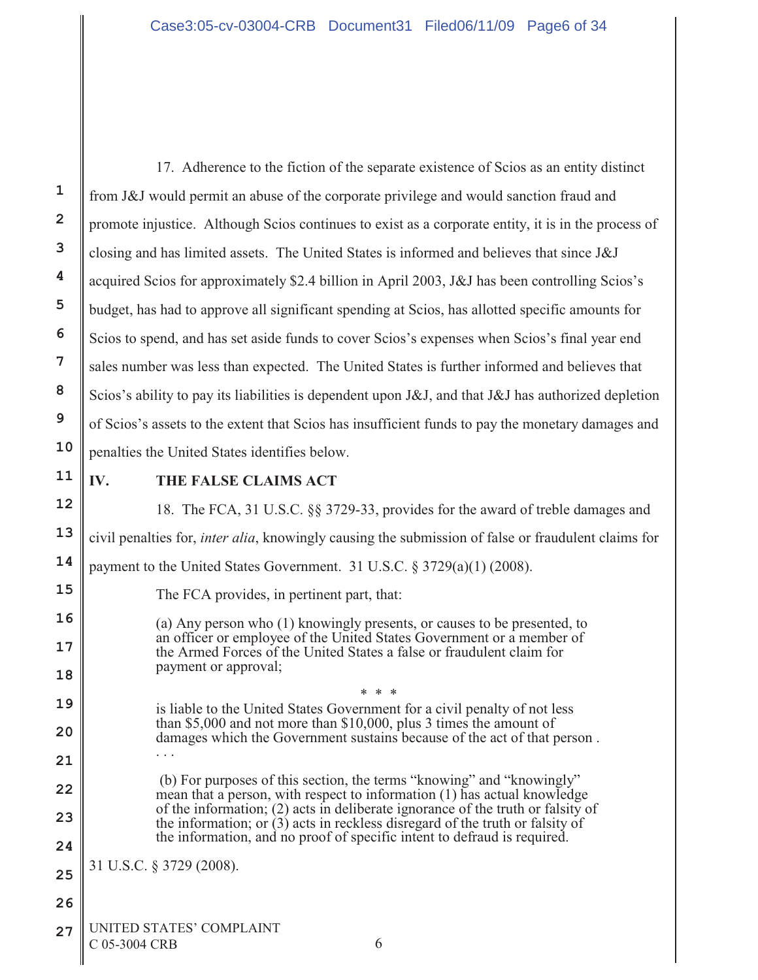**1 2 3 4 5 6 7 8 9 10 11 12 13 14 15 16 17 18 19 20 21 22 23 24 25 26 27** UNITED STATES' COMPLAINT 17. Adherence to the fiction of the separate existence of Scios as an entity distinct from J&J would permit an abuse of the corporate privilege and would sanction fraud and promote injustice. Although Scios continues to exist as a corporate entity, it is in the process of closing and has limited assets. The United States is informed and believes that since J&J acquired Scios for approximately \$2.4 billion in April 2003, J&J has been controlling Scios's budget, has had to approve all significant spending at Scios, has allotted specific amounts for Scios to spend, and has set aside funds to cover Scios's expenses when Scios's final year end sales number was less than expected. The United States is further informed and believes that Scios's ability to pay its liabilities is dependent upon J&J, and that J&J has authorized depletion of Scios's assets to the extent that Scios has insufficient funds to pay the monetary damages and penalties the United States identifies below. **IV. THE FALSE CLAIMS ACT** 18. The FCA, 31 U.S.C. §§ 3729-33, provides for the award of treble damages and civil penalties for, *inter alia*, knowingly causing the submission of false or fraudulent claims for payment to the United States Government. 31 U.S.C. § 3729(a)(1) (2008). The FCA provides, in pertinent part, that: (a) Any person who (1) knowingly presents, or causes to be presented, to an officer or employee of the United States Government or a member of the Armed Forces of the United States a false or fraudulent claim for payment or approval; \* \* \* is liable to the United States Government for a civil penalty of not less than \$5,000 and not more than \$10,000, plus 3 times the amount of damages which the Government sustains because of the act of that person . . . . (b) For purposes of this section, the terms "knowing" and "knowingly" mean that a person, with respect to information (1) has actual knowledge of the information; (2) acts in deliberate ignorance of the truth or falsity of the information; or  $(3)$  acts in reckless disregard of the truth or falsity of the information, and no proof of specific intent to defraud is required. 31 U.S.C. § 3729 (2008).

 $C$  05-3004 CRB 6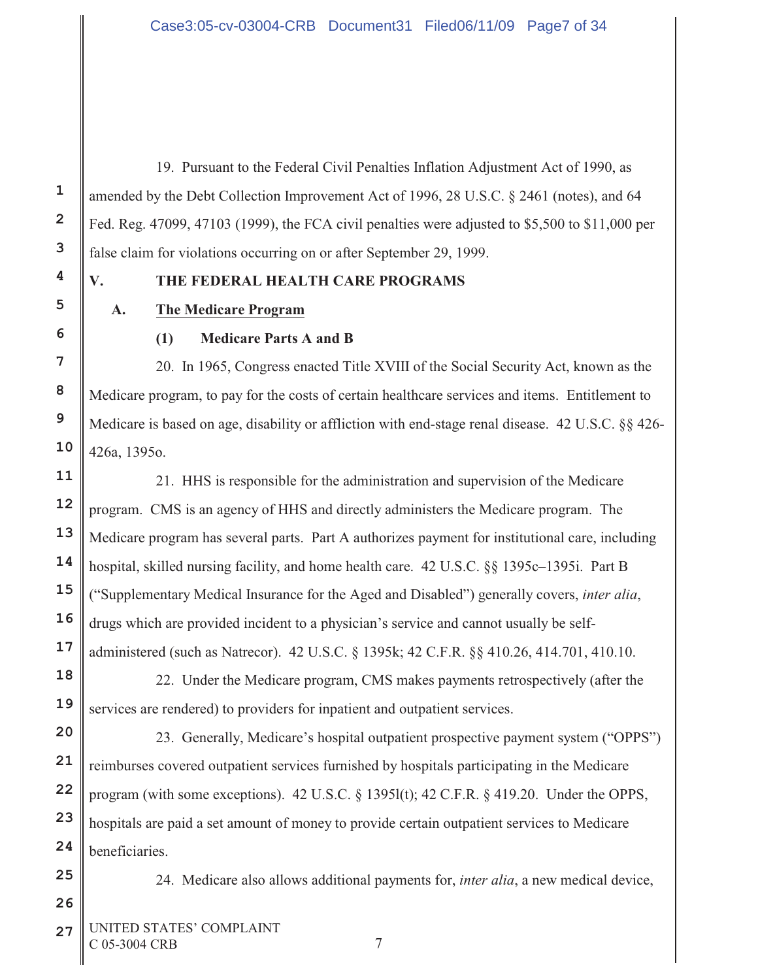19. Pursuant to the Federal Civil Penalties Inflation Adjustment Act of 1990, as amended by the Debt Collection Improvement Act of 1996, 28 U.S.C. § 2461 (notes), and 64 Fed. Reg. 47099, 47103 (1999), the FCA civil penalties were adjusted to \$5,500 to \$11,000 per false claim for violations occurring on or after September 29, 1999.

# **V. THE FEDERAL HEALTH CARE PROGRAMS**

# **A. The Medicare Program**

**1**

**2**

**3**

**4**

**5**

**6**

**7**

**8**

**9**

**10**

**11**

**12**

**13**

**14**

**15**

**16**

**17**

**18**

**19**

**20**

**21**

**22**

**23**

**24**

**25**

**26**

# **(1) Medicare Parts A and B**

20. In 1965, Congress enacted Title XVIII of the Social Security Act, known as the Medicare program, to pay for the costs of certain healthcare services and items. Entitlement to Medicare is based on age, disability or affliction with end-stage renal disease. 42 U.S.C. §§ 426- 426a, 1395o.

21. HHS is responsible for the administration and supervision of the Medicare program. CMS is an agency of HHS and directly administers the Medicare program. The Medicare program has several parts. Part A authorizes payment for institutional care, including hospital, skilled nursing facility, and home health care. 42 U.S.C. §§ 1395c–1395i. Part B ("Supplementary Medical Insurance for the Aged and Disabled") generally covers, *inter alia*, drugs which are provided incident to a physician's service and cannot usually be selfadministered (such as Natrecor). 42 U.S.C. § 1395k; 42 C.F.R. §§ 410.26, 414.701, 410.10.

22. Under the Medicare program, CMS makes payments retrospectively (after the services are rendered) to providers for inpatient and outpatient services.

23. Generally, Medicare's hospital outpatient prospective payment system ("OPPS") reimburses covered outpatient services furnished by hospitals participating in the Medicare program (with some exceptions). 42 U.S.C. § 1395l(t); 42 C.F.R. § 419.20. Under the OPPS, hospitals are paid a set amount of money to provide certain outpatient services to Medicare beneficiaries.

24. Medicare also allows additional payments for, *inter alia*, a new medical device,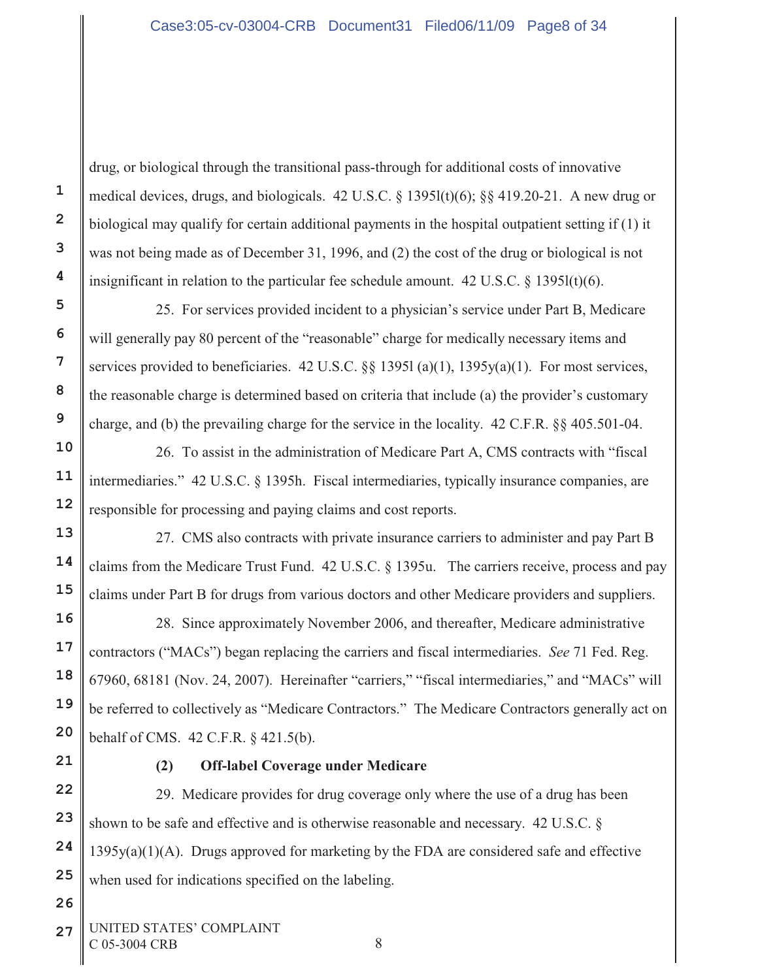drug, or biological through the transitional pass-through for additional costs of innovative medical devices, drugs, and biologicals. 42 U.S.C. § 1395l(t)(6); §§ 419.20-21. A new drug or biological may qualify for certain additional payments in the hospital outpatient setting if (1) it was not being made as of December 31, 1996, and (2) the cost of the drug or biological is not insignificant in relation to the particular fee schedule amount.  $42 \text{ U.S.C.}$  §  $1395 \text{ l}(t)(6)$ .

25. For services provided incident to a physician's service under Part B, Medicare will generally pay 80 percent of the "reasonable" charge for medically necessary items and services provided to beneficiaries. 42 U.S.C. §§ 1395l (a)(1), 1395y(a)(1). For most services, the reasonable charge is determined based on criteria that include (a) the provider's customary charge, and (b) the prevailing charge for the service in the locality. 42 C.F.R. §§ 405.501-04.

26. To assist in the administration of Medicare Part A, CMS contracts with "fiscal intermediaries." 42 U.S.C. § 1395h. Fiscal intermediaries, typically insurance companies, are responsible for processing and paying claims and cost reports.

27. CMS also contracts with private insurance carriers to administer and pay Part B claims from the Medicare Trust Fund. 42 U.S.C. § 1395u. The carriers receive, process and pay claims under Part B for drugs from various doctors and other Medicare providers and suppliers.

 28. Since approximately November 2006, and thereafter, Medicare administrative contractors ("MACs") began replacing the carriers and fiscal intermediaries. *See* 71 Fed. Reg. 67960, 68181 (Nov. 24, 2007). Hereinafter "carriers," "fiscal intermediaries," and "MACs" will be referred to collectively as "Medicare Contractors." The Medicare Contractors generally act on behalf of CMS. 42 C.F.R. § 421.5(b).

**1**

**2**

**3**

**4**

**5**

**6**

**7**

**8**

**9**

**10**

**11**

**12**

**13**

**14**

**15**

**16**

**17**

**18**

**19**

**20**

**21**

**22**

**23**

**24**

**25**

**26**

# **(2) Off-label Coverage under Medicare**

29. Medicare provides for drug coverage only where the use of a drug has been shown to be safe and effective and is otherwise reasonable and necessary. 42 U.S.C. § 1395y(a)(1)(A). Drugs approved for marketing by the FDA are considered safe and effective when used for indications specified on the labeling.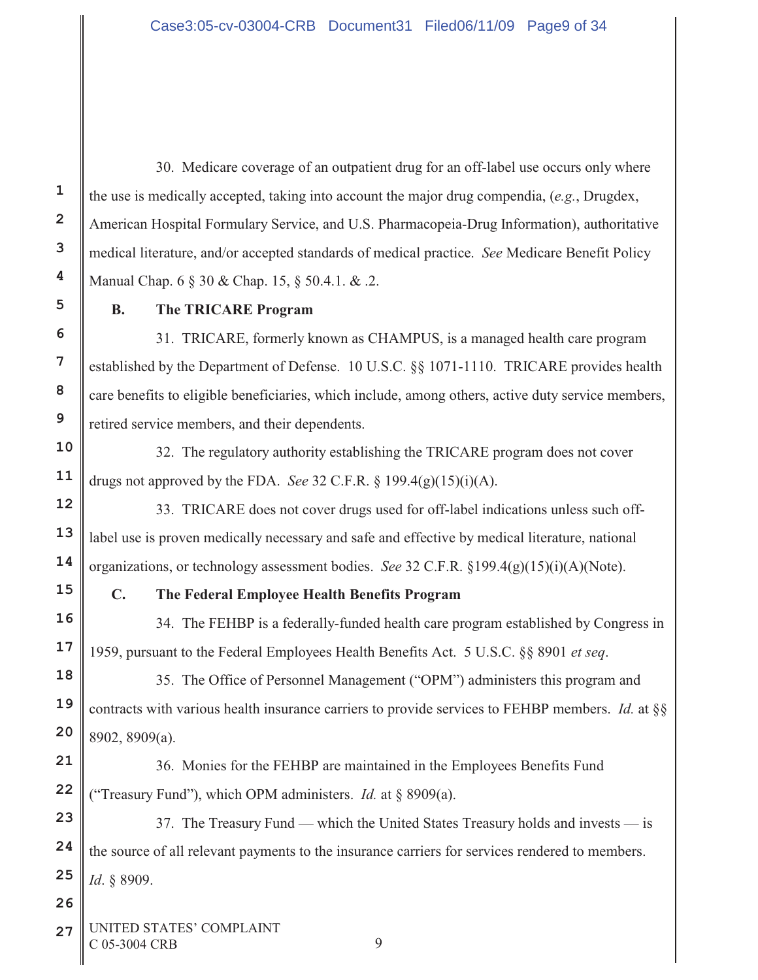30. Medicare coverage of an outpatient drug for an off-label use occurs only where the use is medically accepted, taking into account the major drug compendia, (*e.g.*, Drugdex, American Hospital Formulary Service, and U.S. Pharmacopeia-Drug Information), authoritative medical literature, and/or accepted standards of medical practice. *See* Medicare Benefit Policy Manual Chap. 6 § 30 & Chap. 15, § 50.4.1. & .2.

# **B. The TRICARE Program**

31. TRICARE, formerly known as CHAMPUS, is a managed health care program established by the Department of Defense. 10 U.S.C. §§ 1071-1110. TRICARE provides health care benefits to eligible beneficiaries, which include, among others, active duty service members, retired service members, and their dependents.

32. The regulatory authority establishing the TRICARE program does not cover drugs not approved by the FDA. *See* 32 C.F.R. § 199.4(g)(15)(i)(A).

33. TRICARE does not cover drugs used for off-label indications unless such offlabel use is proven medically necessary and safe and effective by medical literature, national organizations, or technology assessment bodies. *See* 32 C.F.R. §199.4(g)(15)(i)(A)(Note).

# **C. The Federal Employee Health Benefits Program**

34. The FEHBP is a federally-funded health care program established by Congress in 1959, pursuant to the Federal Employees Health Benefits Act. 5 U.S.C. §§ 8901 *et seq*.

35. The Office of Personnel Management ("OPM") administers this program and contracts with various health insurance carriers to provide services to FEHBP members. *Id.* at §§ 8902, 8909(a).

36. Monies for the FEHBP are maintained in the Employees Benefits Fund ("Treasury Fund"), which OPM administers. *Id.* at § 8909(a).

37. The Treasury Fund — which the United States Treasury holds and invests — is the source of all relevant payments to the insurance carriers for services rendered to members. *Id*. § 8909.

**27** UNITED STATES' COMPLAINT  $C$  05-3004 CRB 9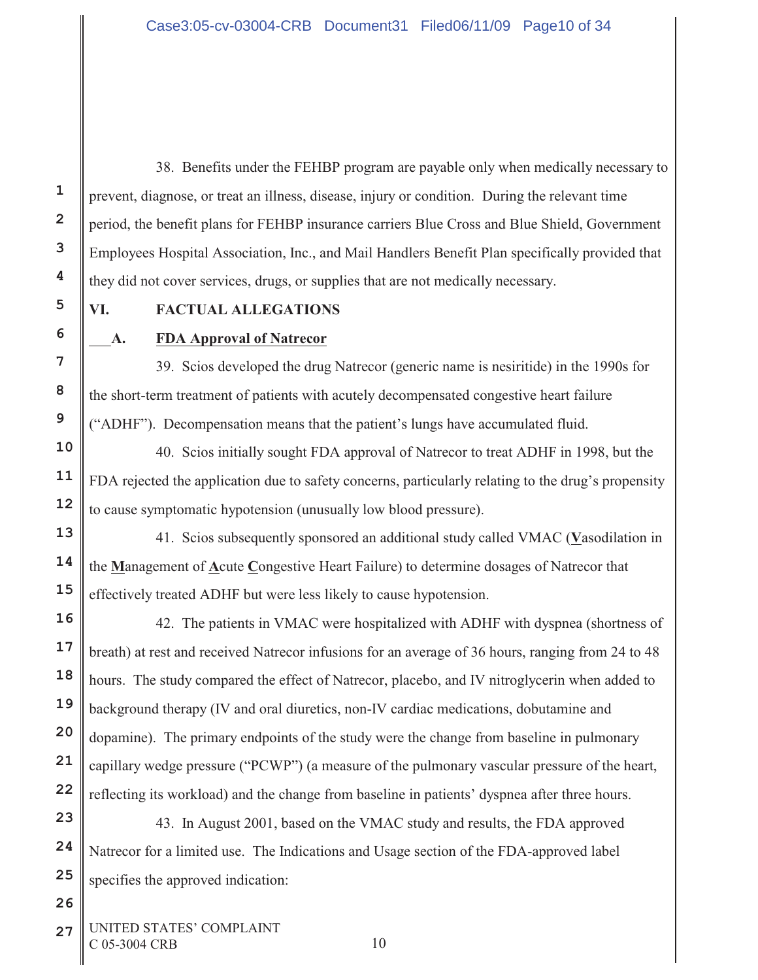38. Benefits under the FEHBP program are payable only when medically necessary to prevent, diagnose, or treat an illness, disease, injury or condition. During the relevant time period, the benefit plans for FEHBP insurance carriers Blue Cross and Blue Shield, Government Employees Hospital Association, Inc., and Mail Handlers Benefit Plan specifically provided that they did not cover services, drugs, or supplies that are not medically necessary.

**1**

# **VI. FACTUAL ALLEGATIONS**

# **A. FDA Approval of Natrecor**

39. Scios developed the drug Natrecor (generic name is nesiritide) in the 1990s for the short-term treatment of patients with acutely decompensated congestive heart failure ("ADHF"). Decompensation means that the patient's lungs have accumulated fluid.

40. Scios initially sought FDA approval of Natrecor to treat ADHF in 1998, but the FDA rejected the application due to safety concerns, particularly relating to the drug's propensity to cause symptomatic hypotension (unusually low blood pressure).

41. Scios subsequently sponsored an additional study called VMAC (**V**asodilation in the **M**anagement of **A**cute **C**ongestive Heart Failure) to determine dosages of Natrecor that effectively treated ADHF but were less likely to cause hypotension.

42. The patients in VMAC were hospitalized with ADHF with dyspnea (shortness of breath) at rest and received Natrecor infusions for an average of 36 hours, ranging from 24 to 48 hours. The study compared the effect of Natrecor, placebo, and IV nitroglycerin when added to background therapy (IV and oral diuretics, non-IV cardiac medications, dobutamine and dopamine). The primary endpoints of the study were the change from baseline in pulmonary capillary wedge pressure ("PCWP") (a measure of the pulmonary vascular pressure of the heart, reflecting its workload) and the change from baseline in patients' dyspnea after three hours.

43. In August 2001, based on the VMAC study and results, the FDA approved Natrecor for a limited use. The Indications and Usage section of the FDA-approved label specifies the approved indication:

27 UNITED STATES' COMPLAINT C 05-3004 CRB 10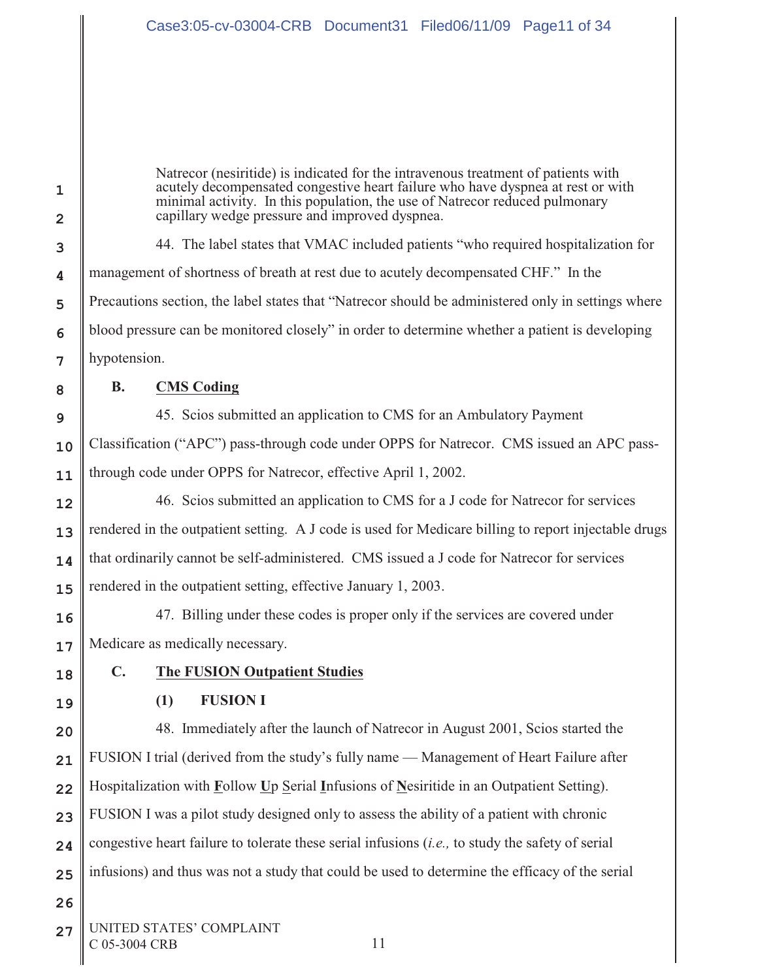Natrecor (nesiritide) is indicated for the intravenous treatment of patients with acutely decompensated congestive heart failure who have dyspnea at rest or with minimal activity. In this population, the use of Natrecor reduced pulmonary capillary wedge pressure and improved dyspnea.

44. The label states that VMAC included patients "who required hospitalization for management of shortness of breath at rest due to acutely decompensated CHF." In the Precautions section, the label states that "Natrecor should be administered only in settings where blood pressure can be monitored closely" in order to determine whether a patient is developing hypotension.

**1**

**2**

**3**

**4**

**5**

**6**

**7**

**8**

**9**

**10**

**11**

**12**

**13**

**14**

**15**

# **B. CMS Coding**

45. Scios submitted an application to CMS for an Ambulatory Payment Classification ("APC") pass-through code under OPPS for Natrecor. CMS issued an APC passthrough code under OPPS for Natrecor, effective April 1, 2002.

46. Scios submitted an application to CMS for a J code for Natrecor for services rendered in the outpatient setting. A J code is used for Medicare billing to report injectable drugs that ordinarily cannot be self-administered. CMS issued a J code for Natrecor for services rendered in the outpatient setting, effective January 1, 2003.

**16 17** 47. Billing under these codes is proper only if the services are covered under Medicare as medically necessary.

**18**

**19**

**26**

# **C. The FUSION Outpatient Studies**

## **(1) FUSION I**

**20 21 22 23 24 25** 48. Immediately after the launch of Natrecor in August 2001, Scios started the FUSION I trial (derived from the study's fully name — Management of Heart Failure after Hospitalization with **F**ollow **U**p Serial **I**nfusions of **N**esiritide in an Outpatient Setting). FUSION I was a pilot study designed only to assess the ability of a patient with chronic congestive heart failure to tolerate these serial infusions (*i.e.,* to study the safety of serial infusions) and thus was not a study that could be used to determine the efficacy of the serial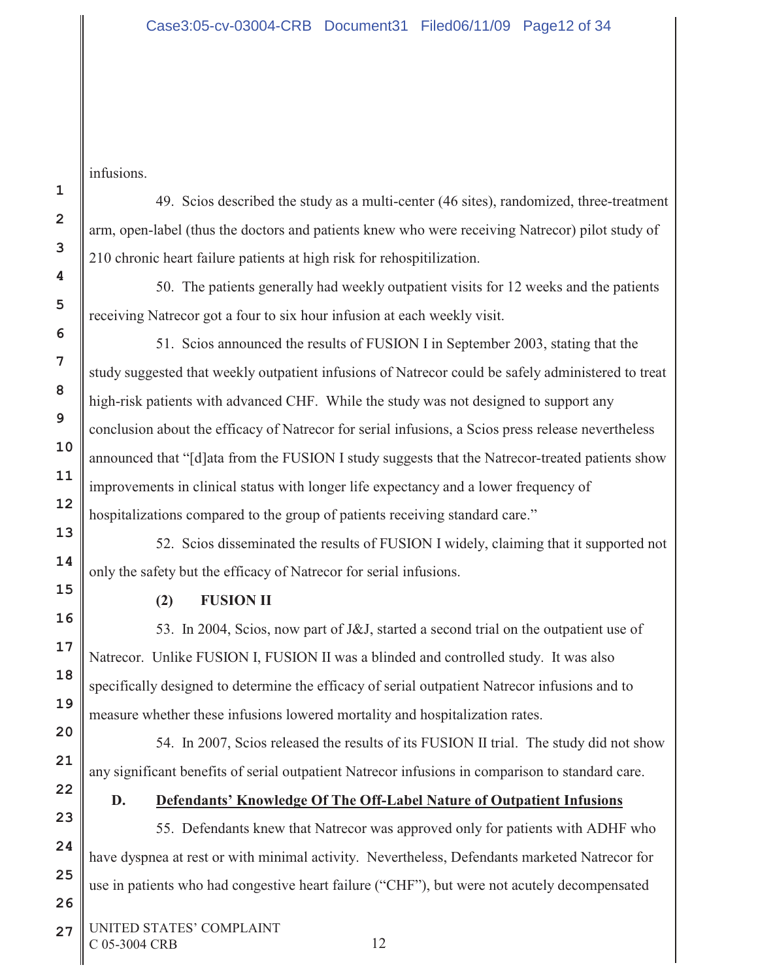infusions.

**1**

49. Scios described the study as a multi-center (46 sites), randomized, three-treatment arm, open-label (thus the doctors and patients knew who were receiving Natrecor) pilot study of 210 chronic heart failure patients at high risk for rehospitilization.

50. The patients generally had weekly outpatient visits for 12 weeks and the patients receiving Natrecor got a four to six hour infusion at each weekly visit.

51. Scios announced the results of FUSION I in September 2003, stating that the study suggested that weekly outpatient infusions of Natrecor could be safely administered to treat high-risk patients with advanced CHF. While the study was not designed to support any conclusion about the efficacy of Natrecor for serial infusions, a Scios press release nevertheless announced that "[d]ata from the FUSION I study suggests that the Natrecor-treated patients show improvements in clinical status with longer life expectancy and a lower frequency of hospitalizations compared to the group of patients receiving standard care."

52. Scios disseminated the results of FUSION I widely, claiming that it supported not only the safety but the efficacy of Natrecor for serial infusions.

# **(2) FUSION II**

53. In 2004, Scios, now part of J&J, started a second trial on the outpatient use of Natrecor. Unlike FUSION I, FUSION II was a blinded and controlled study. It was also specifically designed to determine the efficacy of serial outpatient Natrecor infusions and to measure whether these infusions lowered mortality and hospitalization rates.

54. In 2007, Scios released the results of its FUSION II trial. The study did not show any significant benefits of serial outpatient Natrecor infusions in comparison to standard care.

# **D. Defendants' Knowledge Of The Off-Label Nature of Outpatient Infusions**

55. Defendants knew that Natrecor was approved only for patients with ADHF who have dyspnea at rest or with minimal activity. Nevertheless, Defendants marketed Natrecor for use in patients who had congestive heart failure ("CHF"), but were not acutely decompensated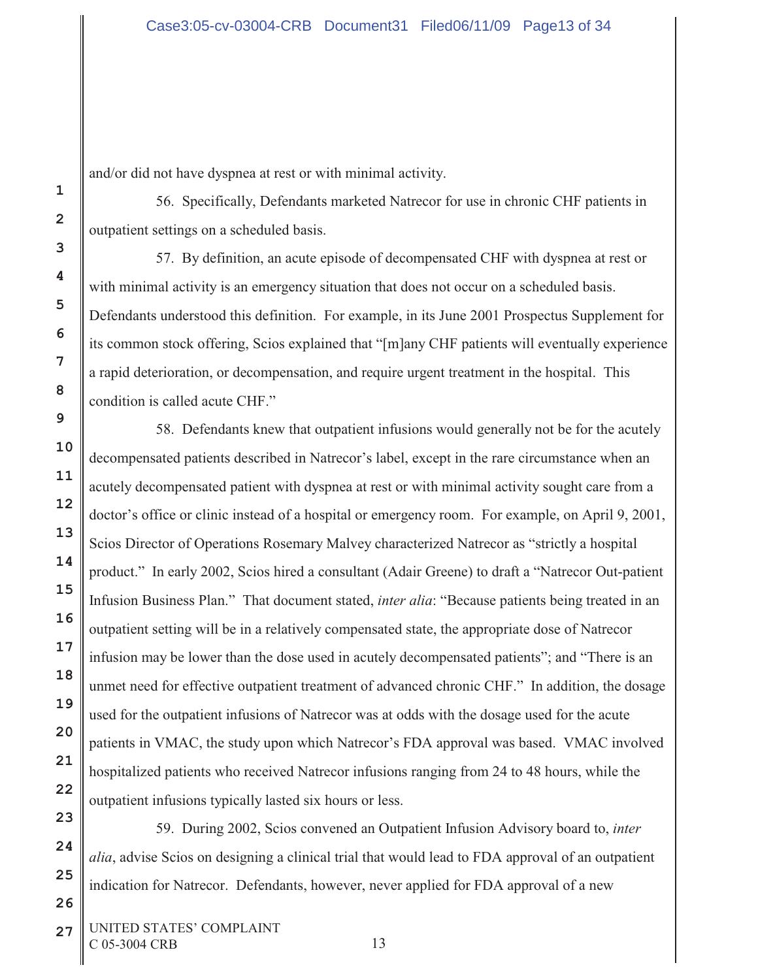and/or did not have dyspnea at rest or with minimal activity.

56. Specifically, Defendants marketed Natrecor for use in chronic CHF patients in outpatient settings on a scheduled basis.

57. By definition, an acute episode of decompensated CHF with dyspnea at rest or with minimal activity is an emergency situation that does not occur on a scheduled basis. Defendants understood this definition. For example, in its June 2001 Prospectus Supplement for its common stock offering, Scios explained that "[m]any CHF patients will eventually experience a rapid deterioration, or decompensation, and require urgent treatment in the hospital. This condition is called acute CHF."

58. Defendants knew that outpatient infusions would generally not be for the acutely decompensated patients described in Natrecor's label, except in the rare circumstance when an acutely decompensated patient with dyspnea at rest or with minimal activity sought care from a doctor's office or clinic instead of a hospital or emergency room. For example, on April 9, 2001, Scios Director of Operations Rosemary Malvey characterized Natrecor as "strictly a hospital product."In early 2002, Scios hired a consultant (Adair Greene) to draft a "Natrecor Out-patient Infusion Business Plan." That document stated, *inter alia*: "Because patients being treated in an outpatient setting will be in a relatively compensated state, the appropriate dose of Natrecor infusion may be lower than the dose used in acutely decompensated patients"; and "There is an unmet need for effective outpatient treatment of advanced chronic CHF." In addition, the dosage used for the outpatient infusions of Natrecor was at odds with the dosage used for the acute patients in VMAC, the study upon which Natrecor's FDA approval was based. VMAC involved hospitalized patients who received Natrecor infusions ranging from 24 to 48 hours, while the outpatient infusions typically lasted six hours or less.

59. During 2002, Scios convened an Outpatient Infusion Advisory board to, *inter alia*, advise Scios on designing a clinical trial that would lead to FDA approval of an outpatient indication for Natrecor. Defendants, however, never applied for FDA approval of a new

27 UNITED STATES' COMPLAINT C 05-3004 CRB 13

**1**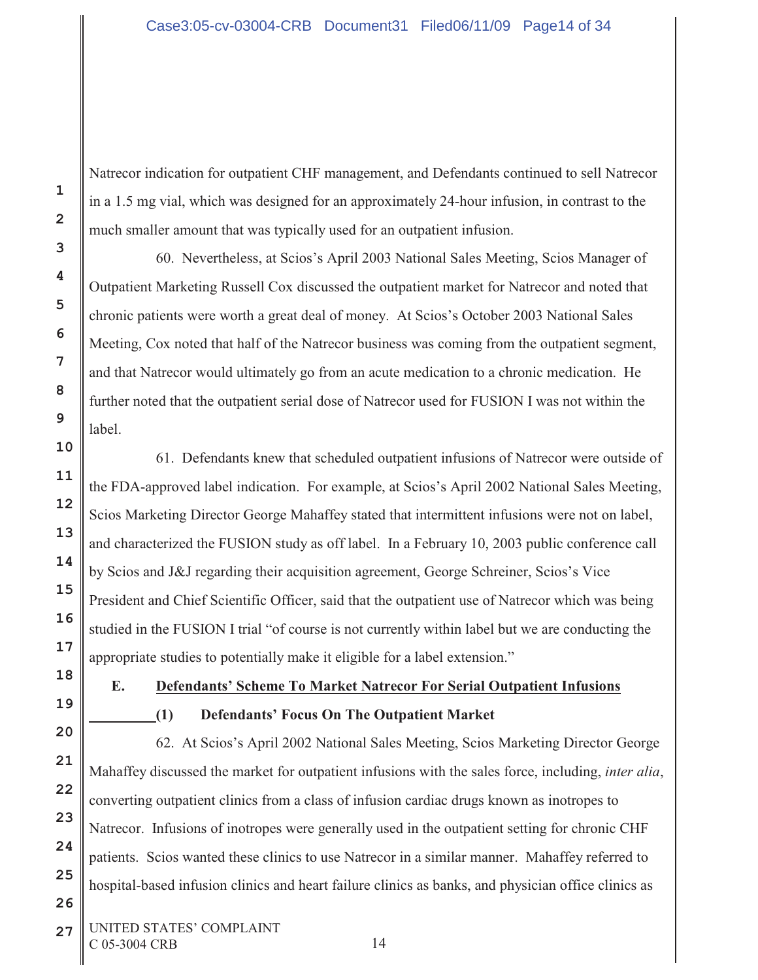Natrecor indication for outpatient CHF management, and Defendants continued to sell Natrecor in a 1.5 mg vial, which was designed for an approximately 24-hour infusion, in contrast to the much smaller amount that was typically used for an outpatient infusion.

60. Nevertheless, at Scios's April 2003 National Sales Meeting, Scios Manager of Outpatient Marketing Russell Cox discussed the outpatient market for Natrecor and noted that chronic patients were worth a great deal of money. At Scios's October 2003 National Sales Meeting, Cox noted that half of the Natrecor business was coming from the outpatient segment, and that Natrecor would ultimately go from an acute medication to a chronic medication. He further noted that the outpatient serial dose of Natrecor used for FUSION I was not within the label.

61. Defendants knew that scheduled outpatient infusions of Natrecor were outside of the FDA-approved label indication. For example, at Scios's April 2002 National Sales Meeting, Scios Marketing Director George Mahaffey stated that intermittent infusions were not on label, and characterized the FUSION study as off label.In a February 10, 2003 public conference call by Scios and J&J regarding their acquisition agreement, George Schreiner, Scios's Vice President and Chief Scientific Officer, said that the outpatient use of Natrecor which was being studied in the FUSION I trial "of course is not currently within label but we are conducting the appropriate studies to potentially make it eligible for a label extension."

**1**

**2**

**3**

**4**

**5**

**6**

**7**

**8**

**9**

**10**

**11**

**12**

**13**

**14**

**15**

**16**

**17**

**18**

**19**

**20**

**21**

**22**

**23**

**24**

**25**

**26**

# **E. Defendants' Scheme To Market Natrecor For Serial Outpatient Infusions (1) Defendants' Focus On The Outpatient Market**

62. At Scios's April 2002 National Sales Meeting, Scios Marketing Director George Mahaffey discussed the market for outpatient infusions with the sales force, including, *inter alia*, converting outpatient clinics from a class of infusion cardiac drugs known as inotropes to Natrecor. Infusions of inotropes were generally used in the outpatient setting for chronic CHF patients. Scios wanted these clinics to use Natrecor in a similar manner. Mahaffey referred to hospital-based infusion clinics and heart failure clinics as banks, and physician office clinics as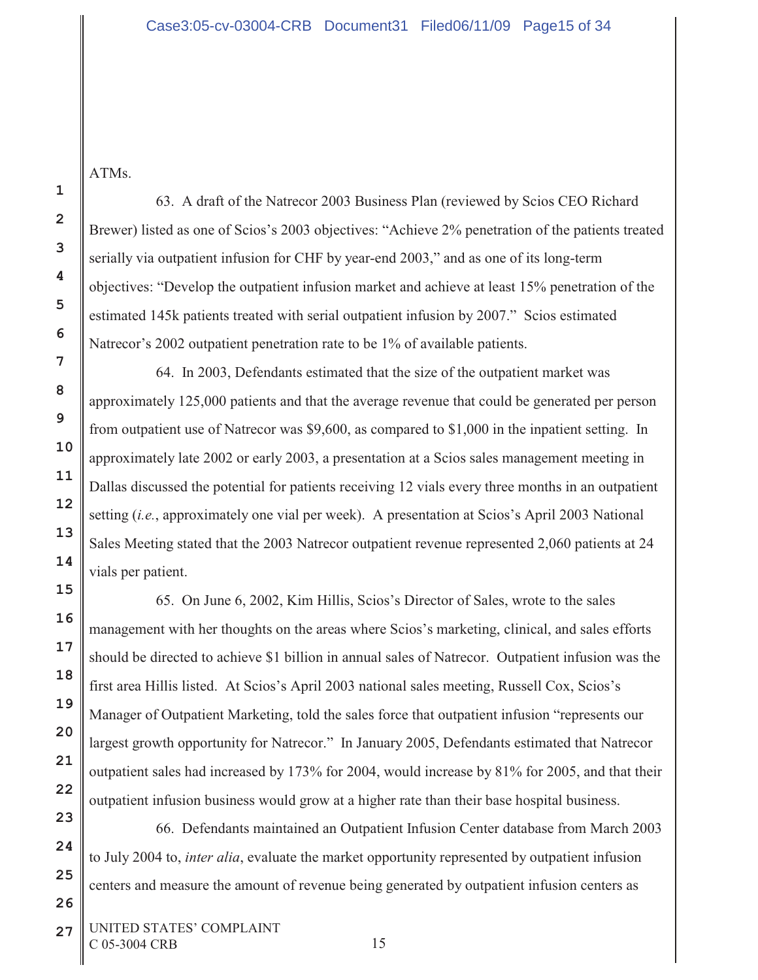ATMs.

63. A draft of the Natrecor 2003 Business Plan (reviewed by Scios CEO Richard Brewer) listed as one of Scios's 2003 objectives: "Achieve 2% penetration of the patients treated serially via outpatient infusion for CHF by year-end 2003," and as one of its long-term objectives: "Develop the outpatient infusion market and achieve at least 15% penetration of the estimated 145k patients treated with serial outpatient infusion by 2007." Scios estimated Natrecor's 2002 outpatient penetration rate to be 1% of available patients.

64. In 2003, Defendants estimated that the size of the outpatient market was approximately 125,000 patients and that the average revenue that could be generated per person from outpatient use of Natrecor was \$9,600, as compared to \$1,000 in the inpatient setting. In approximately late 2002 or early 2003, a presentation at a Scios sales management meeting in Dallas discussed the potential for patients receiving 12 vials every three months in an outpatient setting (*i.e.*, approximately one vial per week). A presentation at Scios's April 2003 National Sales Meeting stated that the 2003 Natrecor outpatient revenue represented 2,060 patients at 24 vials per patient.

65. On June 6, 2002, Kim Hillis, Scios's Director of Sales, wrote to the sales management with her thoughts on the areas where Scios's marketing, clinical, and sales efforts should be directed to achieve \$1 billion in annual sales of Natrecor. Outpatient infusion was the first area Hillis listed. At Scios's April 2003 national sales meeting, Russell Cox, Scios's Manager of Outpatient Marketing, told the sales force that outpatient infusion "represents our largest growth opportunity for Natrecor." In January 2005, Defendants estimated that Natrecor outpatient sales had increased by 173% for 2004, would increase by 81% for 2005, and that their outpatient infusion business would grow at a higher rate than their base hospital business.

66. Defendants maintained an Outpatient Infusion Center database from March 2003 to July 2004 to, *inter alia*, evaluate the market opportunity represented by outpatient infusion centers and measure the amount of revenue being generated by outpatient infusion centers as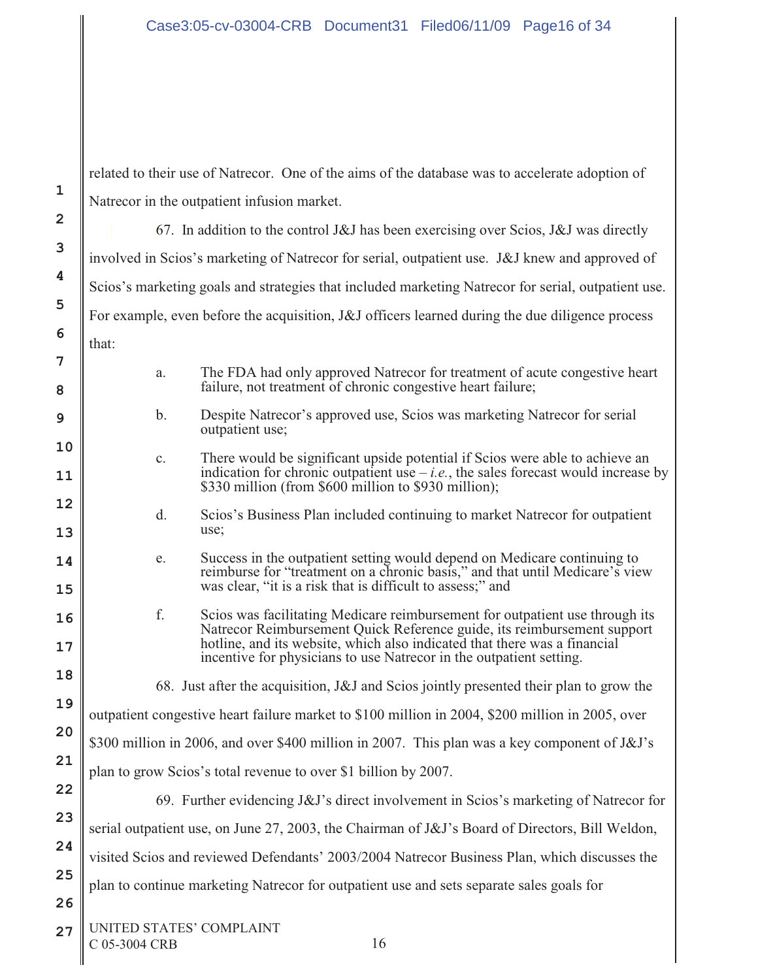**1 2 3 4 5 6 7 8 9 10 11 12 13 14 15 16 17 18 19 20 21 22 23 24 25 26 27** UNITED STATES' COMPLAINT C 05-3004 CRB 16 related to their use of Natrecor. One of the aims of the database was to accelerate adoption of Natrecor in the outpatient infusion market. 67. In addition to the control J&J has been exercising over Scios, J&J was directly involved in Scios's marketing of Natrecor for serial, outpatient use. J&J knew and approved of Scios's marketing goals and strategies that included marketing Natrecor for serial, outpatient use. For example, even before the acquisition, J&J officers learned during the due diligence process that: a. The FDA had only approved Natrecor for treatment of acute congestive heart failure, not treatment of chronic congestive heart failure; b. Despite Natrecor's approved use, Scios was marketing Natrecor for serial outpatient use; c. There would be significant upside potential if Scios were able to achieve an indication for chronic outpatient use  $-i.e.,$  the sales forecast would increase by \$330 million (from \$600 million to \$930 million); d. Scios's Business Plan included continuing to market Natrecor for outpatient use; e. Success in the outpatient setting would depend on Medicare continuing to reimburse for "treatment on a chronic basis," and that until Medicare's view was clear, "it is a risk that is difficult to assess;" and f. Scios was facilitating Medicare reimbursement for outpatient use through its Natrecor Reimbursement Quick Reference guide, its reimbursement support hotline, and its website, which also indicated that there was a financial incentive for physicians to use Natrecor in the outpatient setting. 68. Just after the acquisition, J&J and Scios jointly presented their plan to grow the outpatient congestive heart failure market to \$100 million in 2004, \$200 million in 2005, over \$300 million in 2006, and over \$400 million in 2007. This plan was a key component of J&J's plan to grow Scios's total revenue to over \$1 billion by 2007. 69. Further evidencing J&J's direct involvement in Scios's marketing of Natrecor for serial outpatient use, on June 27, 2003, the Chairman of J&J's Board of Directors, Bill Weldon, visited Scios and reviewed Defendants' 2003/2004 Natrecor Business Plan, which discusses the plan to continue marketing Natrecor for outpatient use and sets separate sales goals for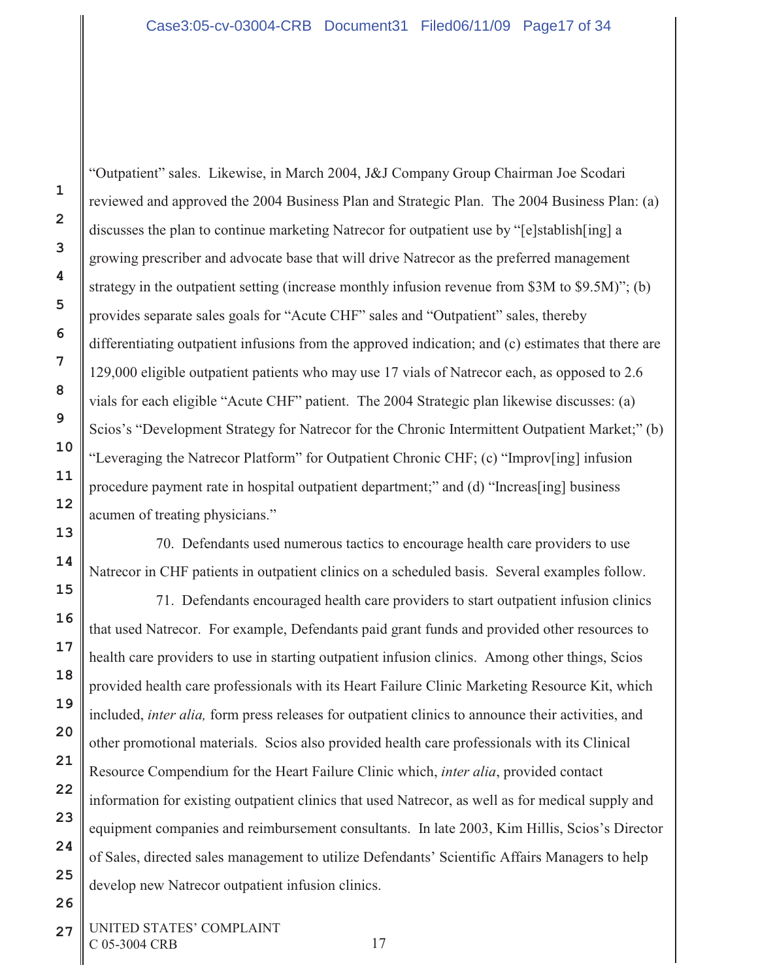"Outpatient" sales. Likewise, in March 2004, J&J Company Group Chairman Joe Scodari reviewed and approved the 2004 Business Plan and Strategic Plan. The 2004 Business Plan: (a) discusses the plan to continue marketing Natrecor for outpatient use by "[e]stablish[ing] a growing prescriber and advocate base that will drive Natrecor as the preferred management strategy in the outpatient setting (increase monthly infusion revenue from \$3M to \$9.5M)"; (b) provides separate sales goals for "Acute CHF" sales and "Outpatient" sales, thereby differentiating outpatient infusions from the approved indication; and (c) estimates that there are 129,000 eligible outpatient patients who may use 17 vials of Natrecor each, as opposed to 2.6 vials for each eligible "Acute CHF" patient. The 2004 Strategic plan likewise discusses: (a) Scios's "Development Strategy for Natrecor for the Chronic Intermittent Outpatient Market;" (b) "Leveraging the Natrecor Platform" for Outpatient Chronic CHF; (c) "Improv[ing] infusion procedure payment rate in hospital outpatient department;" and (d) "Increas[ing] business acumen of treating physicians."

70. Defendants used numerous tactics to encourage health care providers to use Natrecor in CHF patients in outpatient clinics on a scheduled basis. Several examples follow.

71. Defendants encouraged health care providers to start outpatient infusion clinics that used Natrecor. For example, Defendants paid grant funds and provided other resources to health care providers to use in starting outpatient infusion clinics. Among other things, Scios provided health care professionals with its Heart Failure Clinic Marketing Resource Kit, which included, *inter alia,* form press releases for outpatient clinics to announce their activities, and other promotional materials. Scios also provided health care professionals with its Clinical Resource Compendium for the Heart Failure Clinic which, *inter alia*, provided contact information for existing outpatient clinics that used Natrecor, as well as for medical supply and equipment companies and reimbursement consultants. In late 2003, Kim Hillis, Scios's Director of Sales, directed sales management to utilize Defendants' Scientific Affairs Managers to help develop new Natrecor outpatient infusion clinics.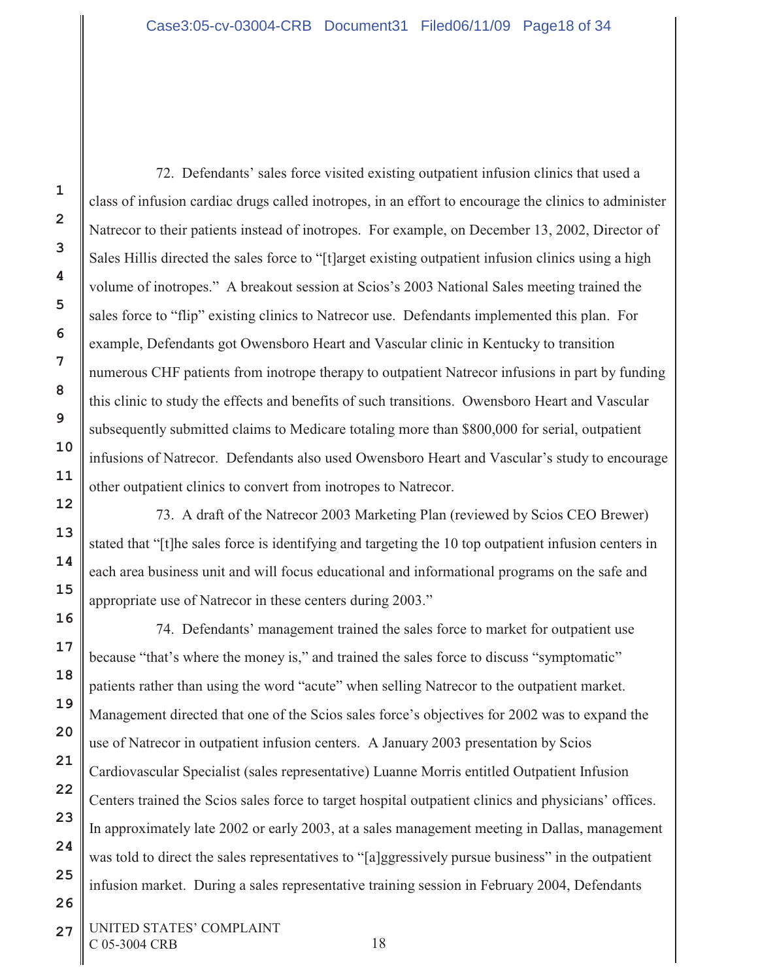72. Defendants' sales force visited existing outpatient infusion clinics that used a class of infusion cardiac drugs called inotropes, in an effort to encourage the clinics to administer Natrecor to their patients instead of inotropes. For example, on December 13, 2002, Director of Sales Hillis directed the sales force to "[t]arget existing outpatient infusion clinics using a high volume of inotropes." A breakout session at Scios's 2003 National Sales meeting trained the sales force to "flip" existing clinics to Natrecor use. Defendants implemented this plan. For example, Defendants got Owensboro Heart and Vascular clinic in Kentucky to transition numerous CHF patients from inotrope therapy to outpatient Natrecor infusions in part by funding this clinic to study the effects and benefits of such transitions. Owensboro Heart and Vascular subsequently submitted claims to Medicare totaling more than \$800,000 for serial, outpatient infusions of Natrecor. Defendants also used Owensboro Heart and Vascular's study to encourage other outpatient clinics to convert from inotropes to Natrecor.

73. A draft of the Natrecor 2003 Marketing Plan (reviewed by Scios CEO Brewer) stated that "[t]he sales force is identifying and targeting the 10 top outpatient infusion centers in each area business unit and will focus educational and informational programs on the safe and appropriate use of Natrecor in these centers during 2003."

74. Defendants' management trained the sales force to market for outpatient use because "that's where the money is," and trained the sales force to discuss "symptomatic" patients rather than using the word "acute" when selling Natrecor to the outpatient market. Management directed that one of the Scios sales force's objectives for 2002 was to expand the use of Natrecor in outpatient infusion centers. A January 2003 presentation by Scios Cardiovascular Specialist (sales representative) Luanne Morris entitled Outpatient Infusion Centers trained the Scios sales force to target hospital outpatient clinics and physicians' offices. In approximately late 2002 or early 2003, at a sales management meeting in Dallas, management was told to direct the sales representatives to "[a]ggressively pursue business" in the outpatient infusion market. During a sales representative training session in February 2004, Defendants

**27** UNITED STATES' COMPLAINT C 05-3004 CRB 18

**1**

**2**

**3**

**4**

**5**

**6**

**7**

**8**

**9**

**10**

**11**

**12**

**13**

**14**

**15**

**16**

**17**

**18**

**19**

**20**

**21**

**22**

**23**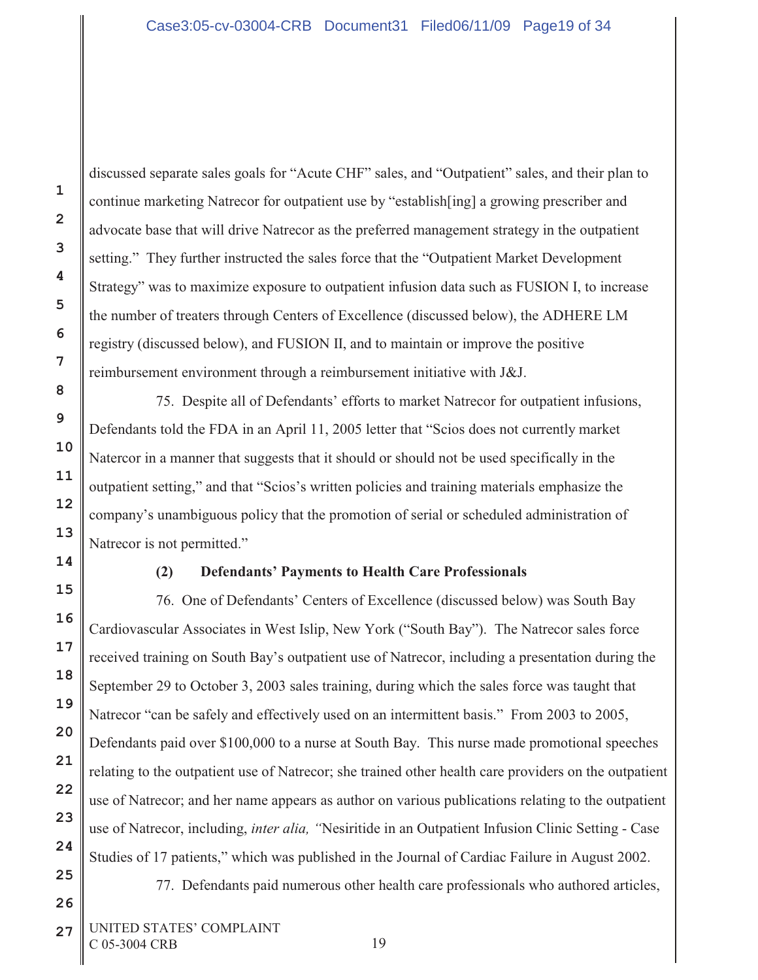discussed separate sales goals for "Acute CHF" sales, and "Outpatient" sales, and their plan to continue marketing Natrecor for outpatient use by "establish[ing] a growing prescriber and advocate base that will drive Natrecor as the preferred management strategy in the outpatient setting." They further instructed the sales force that the "Outpatient Market Development Strategy" was to maximize exposure to outpatient infusion data such as FUSION I, to increase the number of treaters through Centers of Excellence (discussed below), the ADHERE LM registry (discussed below), and FUSION II, and to maintain or improve the positive reimbursement environment through a reimbursement initiative with J&J.

75. Despite all of Defendants' efforts to market Natrecor for outpatient infusions, Defendants told the FDA in an April 11, 2005 letter that "Scios does not currently market Natercor in a manner that suggests that it should or should not be used specifically in the outpatient setting," and that "Scios's written policies and training materials emphasize the company's unambiguous policy that the promotion of serial or scheduled administration of Natrecor is not permitted."

#### **(2) Defendants' Payments to Health Care Professionals**

76. One of Defendants' Centers of Excellence (discussed below) was South Bay Cardiovascular Associates in West Islip, New York ("South Bay"). The Natrecor sales force received training on South Bay's outpatient use of Natrecor, including a presentation during the September 29 to October 3, 2003 sales training, during which the sales force was taught that Natrecor "can be safely and effectively used on an intermittent basis." From 2003 to 2005, Defendants paid over \$100,000 to a nurse at South Bay. This nurse made promotional speeches relating to the outpatient use of Natrecor; she trained other health care providers on the outpatient use of Natrecor; and her name appears as author on various publications relating to the outpatient use of Natrecor, including, *inter alia, "*Nesiritide in an Outpatient Infusion Clinic Setting - Case Studies of 17 patients," which was published in the Journal of Cardiac Failure in August 2002.

77. Defendants paid numerous other health care professionals who authored articles,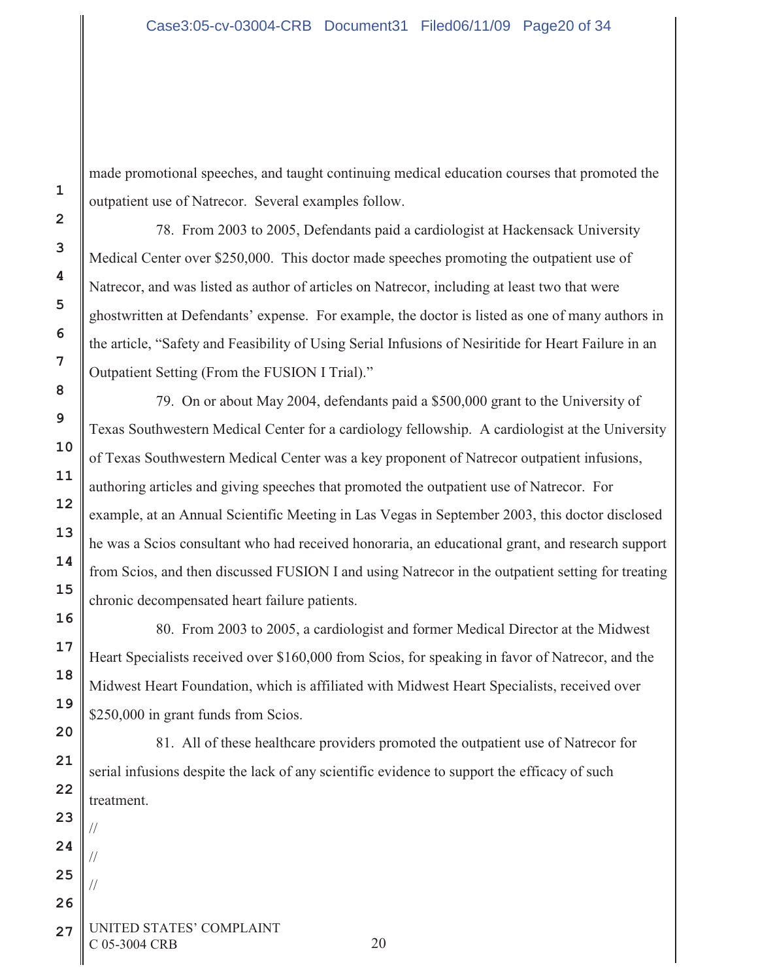made promotional speeches, and taught continuing medical education courses that promoted the outpatient use of Natrecor. Several examples follow.

78. From 2003 to 2005, Defendants paid a cardiologist at Hackensack University Medical Center over \$250,000. This doctor made speeches promoting the outpatient use of Natrecor, and was listed as author of articles on Natrecor, including at least two that were ghostwritten at Defendants' expense. For example, the doctor is listed as one of many authors in the article, "Safety and Feasibility of Using Serial Infusions of Nesiritide for Heart Failure in an Outpatient Setting (From the FUSION I Trial)."

79. On or about May 2004, defendants paid a \$500,000 grant to the University of Texas Southwestern Medical Center for a cardiology fellowship. A cardiologist at the University of Texas Southwestern Medical Center was a key proponent of Natrecor outpatient infusions, authoring articles and giving speeches that promoted the outpatient use of Natrecor. For example, at an Annual Scientific Meeting in Las Vegas in September 2003, this doctor disclosed he was a Scios consultant who had received honoraria, an educational grant, and research support from Scios, and then discussed FUSION I and using Natrecor in the outpatient setting for treating chronic decompensated heart failure patients.

80. From 2003 to 2005, a cardiologist and former Medical Director at the Midwest Heart Specialists received over \$160,000 from Scios, for speaking in favor of Natrecor, and the Midwest Heart Foundation, which is affiliated with Midwest Heart Specialists, received over \$250,000 in grant funds from Scios.

81. All of these healthcare providers promoted the outpatient use of Natrecor for serial infusions despite the lack of any scientific evidence to support the efficacy of such treatment.

**1**

**2**

**3**

**4**

**5**

**6**

**7**

**8**

**9**

**10**

**11**

**12**

**13**

**14**

**15**

**16**

**17**

**18**

**19**

**20**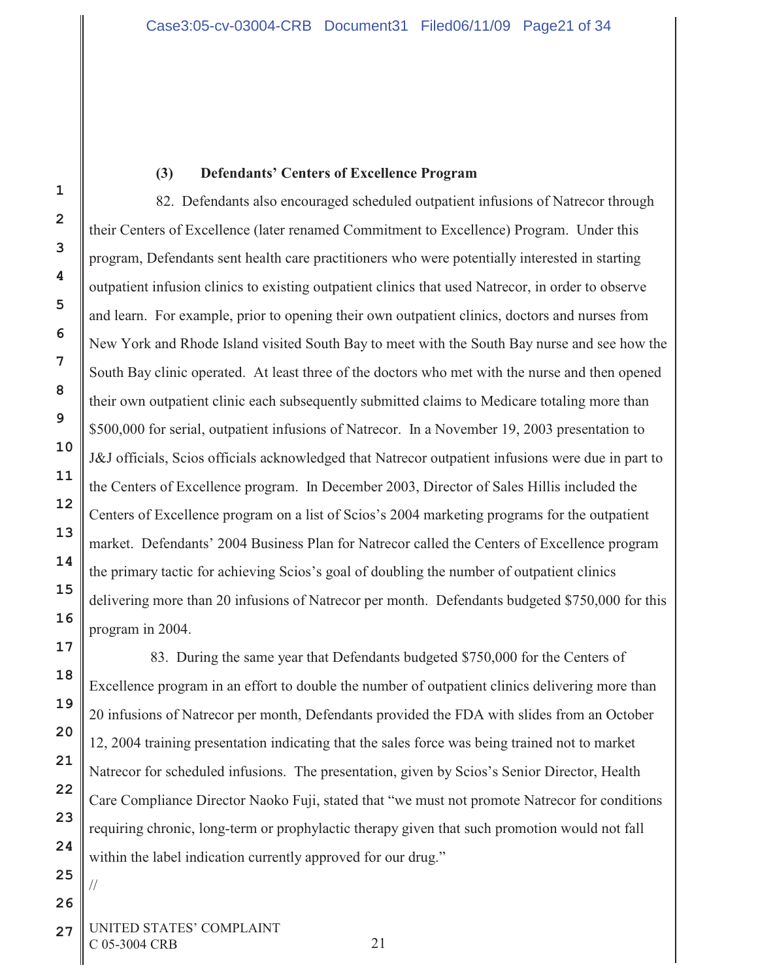### **(3) Defendants' Centers of Excellence Program**

82. Defendants also encouraged scheduled outpatient infusions of Natrecor through their Centers of Excellence (later renamed Commitment to Excellence) Program. Under this program, Defendants sent health care practitioners who were potentially interested in starting outpatient infusion clinics to existing outpatient clinics that used Natrecor, in order to observe and learn. For example, prior to opening their own outpatient clinics, doctors and nurses from New York and Rhode Island visited South Bay to meet with the South Bay nurse and see how the South Bay clinic operated. At least three of the doctors who met with the nurse and then opened their own outpatient clinic each subsequently submitted claims to Medicare totaling more than \$500,000 for serial, outpatient infusions of Natrecor. In a November 19, 2003 presentation to J&J officials, Scios officials acknowledged that Natrecor outpatient infusions were due in part to the Centers of Excellence program. In December 2003, Director of Sales Hillis included the Centers of Excellence program on a list of Scios's 2004 marketing programs for the outpatient market. Defendants' 2004 Business Plan for Natrecor called the Centers of Excellence program the primary tactic for achieving Scios's goal of doubling the number of outpatient clinics delivering more than 20 infusions of Natrecor per month. Defendants budgeted \$750,000 for this program in 2004.

83. During the same year that Defendants budgeted \$750,000 for the Centers of Excellence program in an effort to double the number of outpatient clinics delivering more than 20 infusions of Natrecor per month, Defendants provided the FDA with slides from an October 12, 2004 training presentation indicating that the sales force was being trained not to market Natrecor for scheduled infusions. The presentation, given by Scios's Senior Director, Health Care Compliance Director Naoko Fuji, stated that "we must not promote Natrecor for conditions requiring chronic, long-term or prophylactic therapy given that such promotion would not fall within the label indication currently approved for our drug."

**27** UNITED STATES' COMPLAINT C 05-3004 CRB 21

**1**

**2**

**3**

**4**

**5**

**6**

**7**

**8**

**9**

**10**

**11**

**12**

**13**

**14**

**15**

**16**

**17**

**18**

**19**

**20**

**21**

**22**

**23**

**24**

**25**

//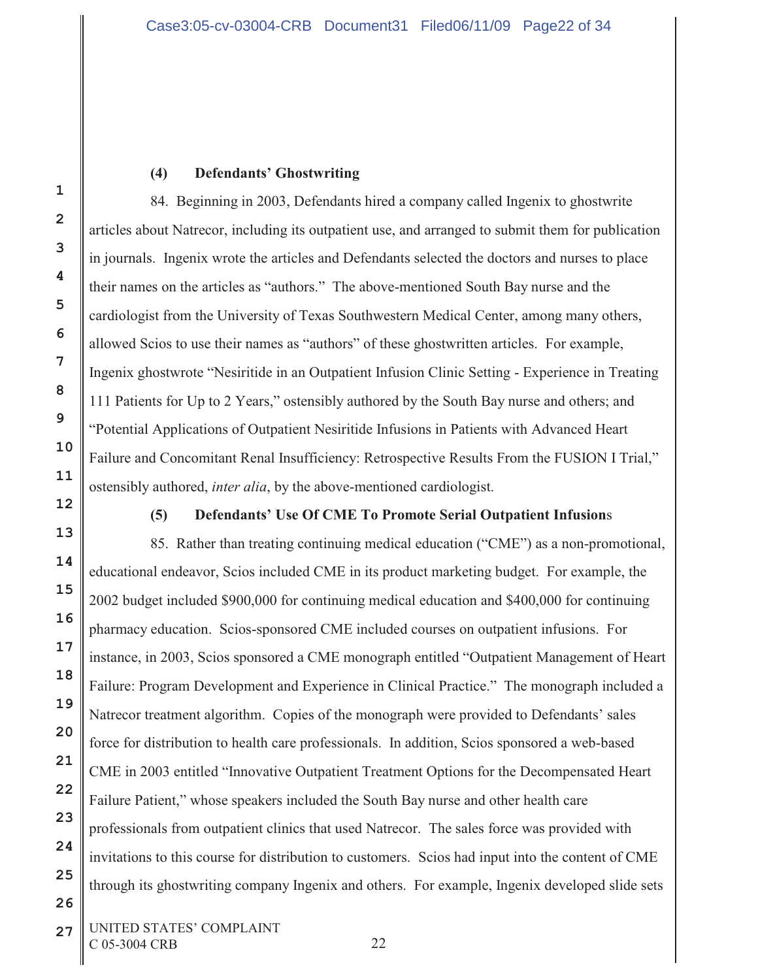### **(4) Defendants' Ghostwriting**

84. Beginning in 2003, Defendants hired a company called Ingenix to ghostwrite articles about Natrecor, including its outpatient use, and arranged to submit them for publication in journals. Ingenix wrote the articles and Defendants selected the doctors and nurses to place their names on the articles as "authors." The above-mentioned South Bay nurse and the cardiologist from the University of Texas Southwestern Medical Center, among many others, allowed Scios to use their names as "authors" of these ghostwritten articles. For example, Ingenix ghostwrote "Nesiritide in an Outpatient Infusion Clinic Setting - Experience in Treating 111 Patients for Up to 2 Years," ostensibly authored by the South Bay nurse and others; and "Potential Applications of Outpatient Nesiritide Infusions in Patients with Advanced Heart Failure and Concomitant Renal Insufficiency: Retrospective Results From the FUSION I Trial," ostensibly authored, *inter alia*, by the above-mentioned cardiologist.

**1**

**2**

**3**

**4**

**5**

**6**

**7**

**8**

**9**

**10**

**11**

**12**

**13**

**14**

**15**

**16**

**17**

**18**

**19**

**20**

**21**

**22**

**23**

**24**

**25**

**26**

## **(5) Defendants' Use Of CME To Promote Serial Outpatient Infusion**s

85. Rather than treating continuing medical education ("CME") as a non-promotional, educational endeavor, Scios included CME in its product marketing budget. For example, the 2002 budget included \$900,000 for continuing medical education and \$400,000 for continuing pharmacy education. Scios-sponsored CME included courses on outpatient infusions. For instance, in 2003, Scios sponsored a CME monograph entitled "Outpatient Management of Heart Failure: Program Development and Experience in Clinical Practice." The monograph included a Natrecor treatment algorithm. Copies of the monograph were provided to Defendants' sales force for distribution to health care professionals. In addition, Scios sponsored a web-based CME in 2003 entitled "Innovative Outpatient Treatment Options for the Decompensated Heart Failure Patient," whose speakers included the South Bay nurse and other health care professionals from outpatient clinics that used Natrecor. The sales force was provided with invitations to this course for distribution to customers. Scios had input into the content of CME through its ghostwriting company Ingenix and others. For example, Ingenix developed slide sets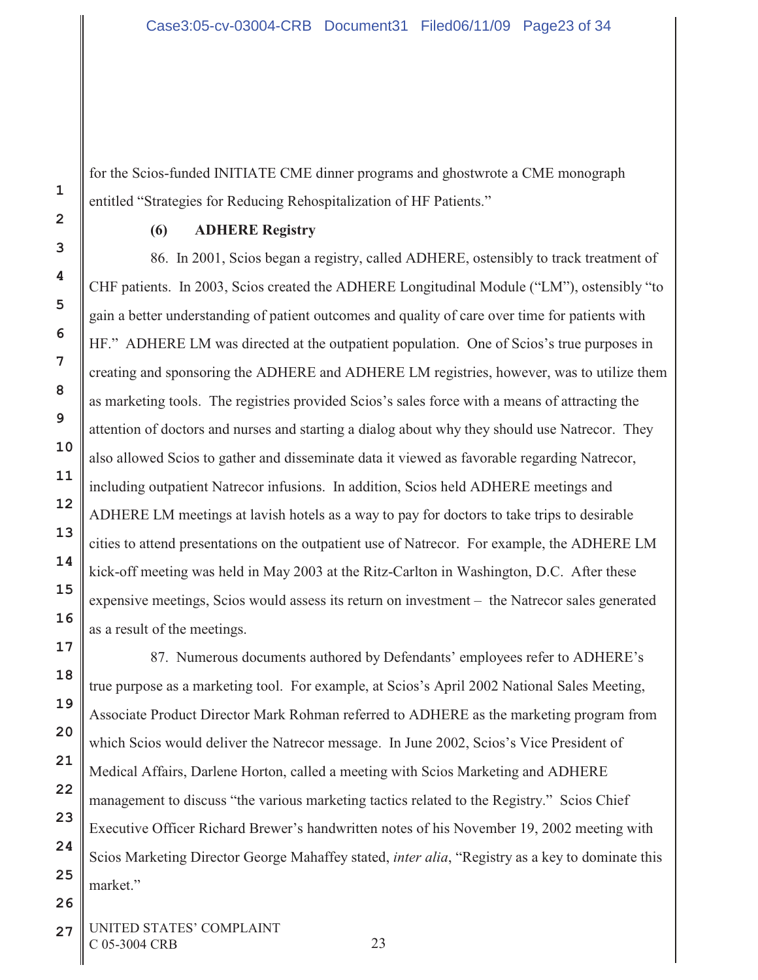for the Scios-funded INITIATE CME dinner programs and ghostwrote a CME monograph entitled "Strategies for Reducing Rehospitalization of HF Patients."

#### **(6) ADHERE Registry**

86. In 2001, Scios began a registry, called ADHERE, ostensibly to track treatment of CHF patients. In 2003, Scios created the ADHERE Longitudinal Module ("LM"), ostensibly "to gain a better understanding of patient outcomes and quality of care over time for patients with HF." ADHERE LM was directed at the outpatient population. One of Scios's true purposes in creating and sponsoring the ADHERE and ADHERE LM registries, however, was to utilize them as marketing tools. The registries provided Scios's sales force with a means of attracting the attention of doctors and nurses and starting a dialog about why they should use Natrecor. They also allowed Scios to gather and disseminate data it viewed as favorable regarding Natrecor, including outpatient Natrecor infusions. In addition, Scios held ADHERE meetings and ADHERE LM meetings at lavish hotels as a way to pay for doctors to take trips to desirable cities to attend presentations on the outpatient use of Natrecor. For example, the ADHERE LM kick-off meeting was held in May 2003 at the Ritz-Carlton in Washington, D.C. After these expensive meetings, Scios would assess its return on investment – the Natrecor sales generated as a result of the meetings.

87. Numerous documents authored by Defendants' employees refer to ADHERE's true purpose as a marketing tool. For example, at Scios's April 2002 National Sales Meeting, Associate Product Director Mark Rohman referred to ADHERE as the marketing program from which Scios would deliver the Natrecor message. In June 2002, Scios's Vice President of Medical Affairs, Darlene Horton, called a meeting with Scios Marketing and ADHERE management to discuss "the various marketing tactics related to the Registry." Scios Chief Executive Officer Richard Brewer's handwritten notes of his November 19, 2002 meeting with Scios Marketing Director George Mahaffey stated, *inter alia*, "Registry as a key to dominate this market."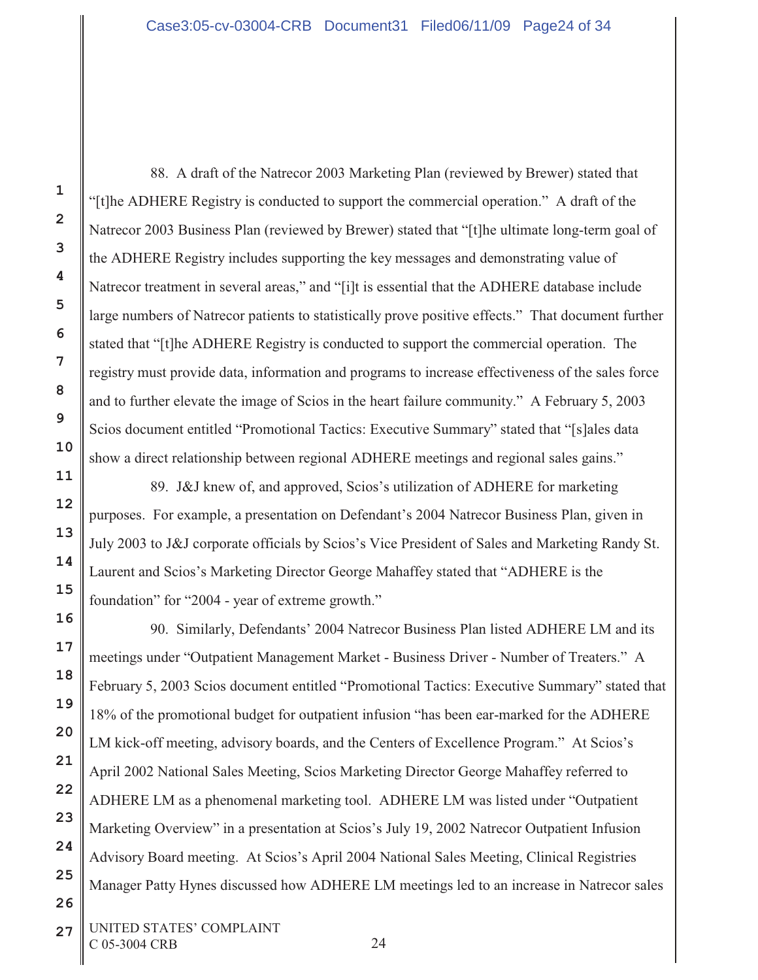88. A draft of the Natrecor 2003 Marketing Plan (reviewed by Brewer) stated that "[t]he ADHERE Registry is conducted to support the commercial operation." A draft of the Natrecor 2003 Business Plan (reviewed by Brewer) stated that "[t]he ultimate long-term goal of the ADHERE Registry includes supporting the key messages and demonstrating value of Natrecor treatment in several areas," and "[i]t is essential that the ADHERE database include large numbers of Natrecor patients to statistically prove positive effects." That document further stated that "[t]he ADHERE Registry is conducted to support the commercial operation. The registry must provide data, information and programs to increase effectiveness of the sales force and to further elevate the image of Scios in the heart failure community." A February 5, 2003 Scios document entitled "Promotional Tactics: Executive Summary" stated that "[s]ales data show a direct relationship between regional ADHERE meetings and regional sales gains."

89. J&J knew of, and approved, Scios's utilization of ADHERE for marketing purposes. For example, a presentation on Defendant's 2004 Natrecor Business Plan, given in July 2003 to J&J corporate officials by Scios's Vice President of Sales and Marketing Randy St. Laurent and Scios's Marketing Director George Mahaffey stated that "ADHERE is the foundation" for "2004 - year of extreme growth."

90. Similarly, Defendants' 2004 Natrecor Business Plan listed ADHERE LM and its meetings under "Outpatient Management Market - Business Driver - Number of Treaters." A February 5, 2003 Scios document entitled "Promotional Tactics: Executive Summary" stated that 18% of the promotional budget for outpatient infusion "has been ear-marked for the ADHERE LM kick-off meeting, advisory boards, and the Centers of Excellence Program." At Scios's April 2002 National Sales Meeting, Scios Marketing Director George Mahaffey referred to ADHERE LM as a phenomenal marketing tool. ADHERE LM was listed under "Outpatient Marketing Overview" in a presentation at Scios's July 19, 2002 Natrecor Outpatient Infusion Advisory Board meeting. At Scios's April 2004 National Sales Meeting, Clinical Registries Manager Patty Hynes discussed how ADHERE LM meetings led to an increase in Natrecor sales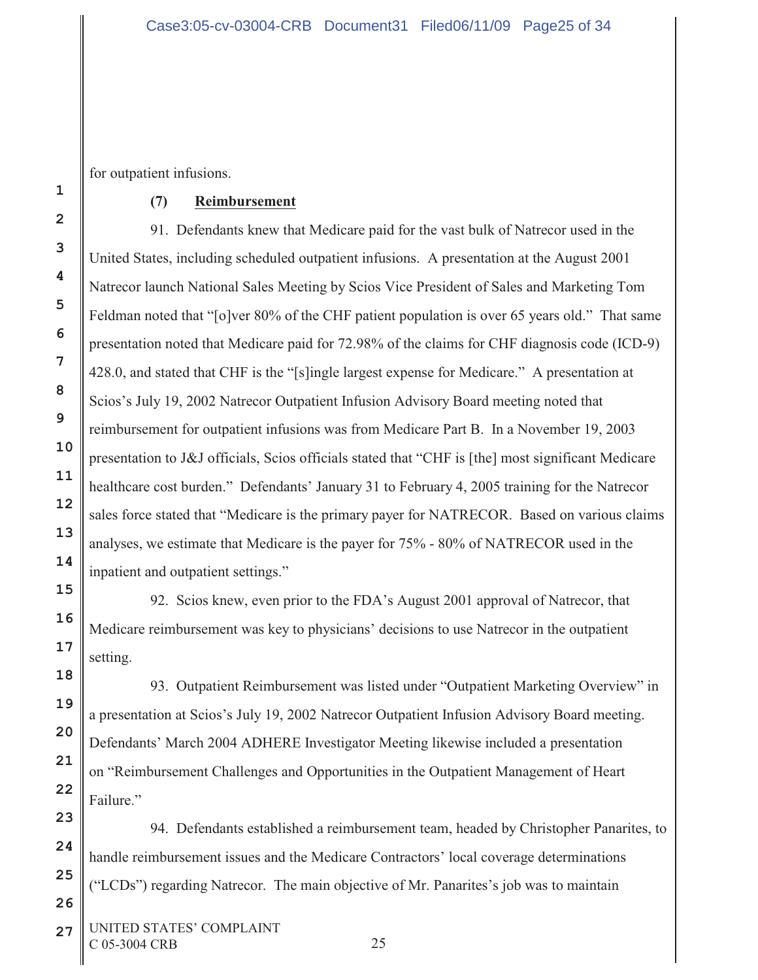for outpatient infusions.

## **(7) Reimbursement**

91. Defendants knew that Medicare paid for the vast bulk of Natrecor used in the United States, including scheduled outpatient infusions. A presentation at the August 2001 Natrecor launch National Sales Meeting by Scios Vice President of Sales and Marketing Tom Feldman noted that "[o]ver 80% of the CHF patient population is over 65 years old."That same presentation noted that Medicare paid for 72.98% of the claims for CHF diagnosis code (ICD-9) 428.0, and stated that CHF is the "[s]ingle largest expense for Medicare." A presentation at Scios's July 19, 2002 Natrecor Outpatient Infusion Advisory Board meeting noted that reimbursement for outpatient infusions was from Medicare Part B. In a November 19, 2003 presentation to J&J officials, Scios officials stated that "CHF is [the] most significant Medicare healthcare cost burden." Defendants' January 31 to February 4, 2005 training for the Natrecor sales force stated that "Medicare is the primary payer for NATRECOR. Based on various claims analyses, we estimate that Medicare is the payer for 75% - 80% of NATRECOR used in the inpatient and outpatient settings."

92. Scios knew, even prior to the FDA's August 2001 approval of Natrecor, that Medicare reimbursement was key to physicians' decisions to use Natrecor in the outpatient setting.

93. Outpatient Reimbursement was listed under "Outpatient Marketing Overview" in a presentation at Scios's July 19, 2002 Natrecor Outpatient Infusion Advisory Board meeting. Defendants' March 2004 ADHERE Investigator Meeting likewise included a presentation on "Reimbursement Challenges and Opportunities in the Outpatient Management of Heart Failure."

94. Defendants established a reimbursement team, headed by Christopher Panarites, to handle reimbursement issues and the Medicare Contractors' local coverage determinations ("LCDs") regarding Natrecor. The main objective of Mr. Panarites's job was to maintain

27 UNITED STATES' COMPLAINT C 05-3004 CRB 25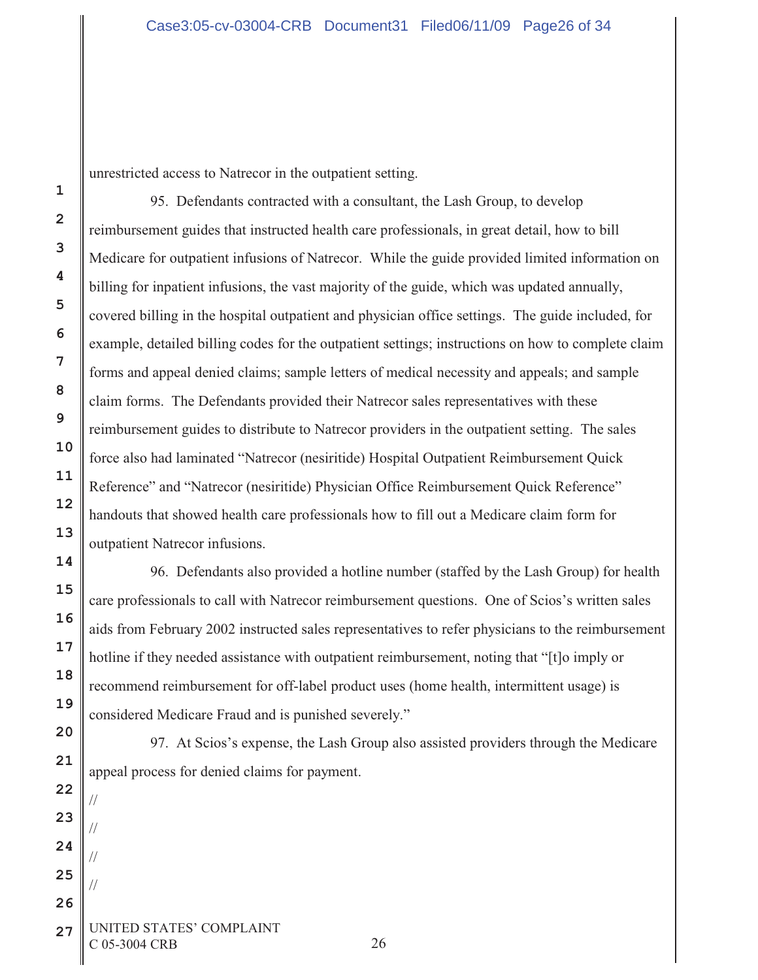**18**

**19**

**20**

**21**

**22**

//

//

//

//

**23**

**24**

**25**

**26**

unrestricted access to Natrecor in the outpatient setting.

95. Defendants contracted with a consultant, the Lash Group, to develop reimbursement guides that instructed health care professionals, in great detail, how to bill Medicare for outpatient infusions of Natrecor. While the guide provided limited information on billing for inpatient infusions, the vast majority of the guide, which was updated annually, covered billing in the hospital outpatient and physician office settings. The guide included, for example, detailed billing codes for the outpatient settings; instructions on how to complete claim forms and appeal denied claims; sample letters of medical necessity and appeals; and sample claim forms. The Defendants provided their Natrecor sales representatives with these reimbursement guides to distribute to Natrecor providers in the outpatient setting. The sales force also had laminated "Natrecor (nesiritide) Hospital Outpatient Reimbursement Quick Reference" and "Natrecor (nesiritide) Physician Office Reimbursement Quick Reference" handouts that showed health care professionals how to fill out a Medicare claim form for outpatient Natrecor infusions.

96. Defendants also provided a hotline number (staffed by the Lash Group) for health care professionals to call with Natrecor reimbursement questions. One of Scios's written sales aids from February 2002 instructed sales representatives to refer physicians to the reimbursement hotline if they needed assistance with outpatient reimbursement, noting that "[t]o imply or recommend reimbursement for off-label product uses (home health, intermittent usage) is considered Medicare Fraud and is punished severely."

97. At Scios's expense, the Lash Group also assisted providers through the Medicare appeal process for denied claims for payment.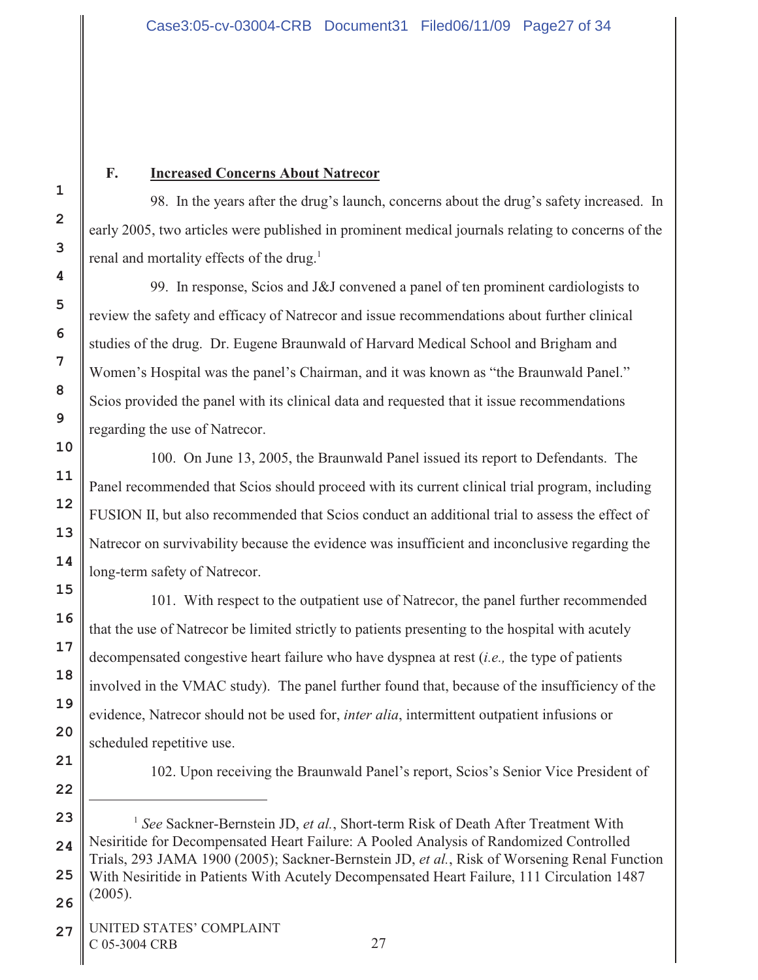# **F. Increased Concerns About Natrecor**

98. In the years after the drug's launch, concerns about the drug's safety increased. In early 2005, two articles were published in prominent medical journals relating to concerns of the renal and mortality effects of the drug.<sup>1</sup>

99. In response, Scios and J&J convened a panel of ten prominent cardiologists to review the safety and efficacy of Natrecor and issue recommendations about further clinical studies of the drug. Dr. Eugene Braunwald of Harvard Medical School and Brigham and Women's Hospital was the panel's Chairman, and it was known as "the Braunwald Panel." Scios provided the panel with its clinical data and requested that it issue recommendations regarding the use of Natrecor.

100. On June 13, 2005, the Braunwald Panel issued its report to Defendants. The Panel recommended that Scios should proceed with its current clinical trial program, including FUSION II, but also recommended that Scios conduct an additional trial to assess the effect of Natrecor on survivability because the evidence was insufficient and inconclusive regarding the long-term safety of Natrecor.

101. With respect to the outpatient use of Natrecor, the panel further recommended that the use of Natrecor be limited strictly to patients presenting to the hospital with acutely decompensated congestive heart failure who have dyspnea at rest (*i.e.,* the type of patients involved in the VMAC study). The panel further found that, because of the insufficiency of the evidence, Natrecor should not be used for, *inter alia*, intermittent outpatient infusions or scheduled repetitive use.

102. Upon receiving the Braunwald Panel's report, Scios's Senior Vice President of

<sup>1</sup> See Sackner-Bernstein JD, *et al.*, Short-term Risk of Death After Treatment With Nesiritide for Decompensated Heart Failure: A Pooled Analysis of Randomized Controlled Trials, 293 JAMA 1900 (2005); Sackner-Bernstein JD, *et al.*, Risk of Worsening Renal Function With Nesiritide in Patients With Acutely Decompensated Heart Failure, 111 Circulation 1487  $(2005).$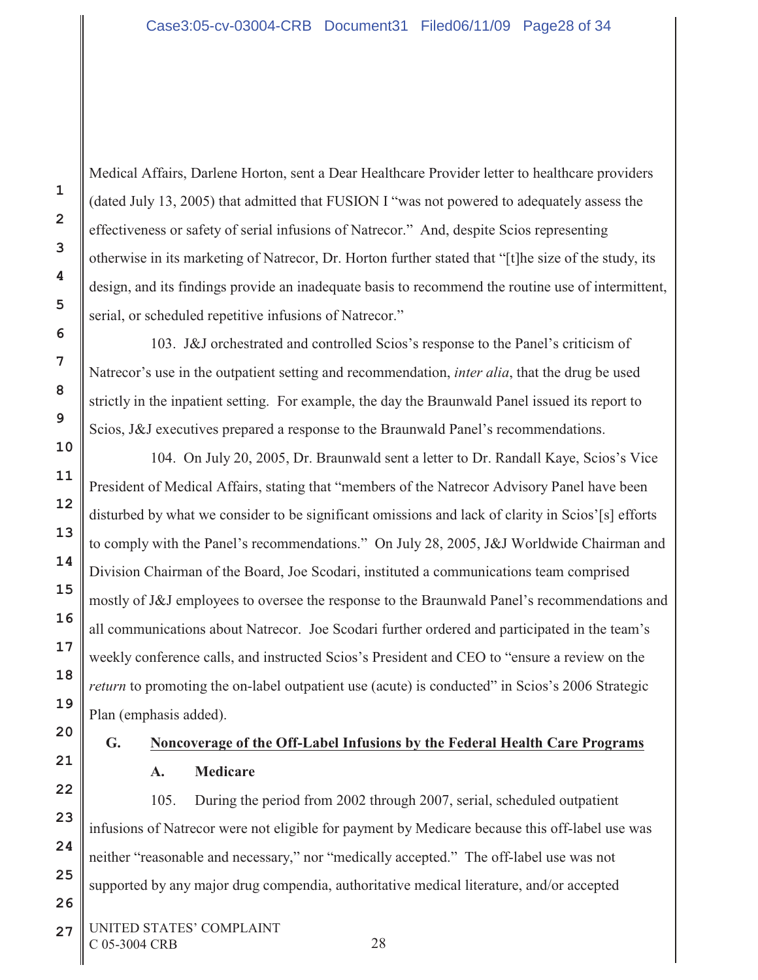Medical Affairs, Darlene Horton, sent a Dear Healthcare Provider letter to healthcare providers (dated July 13, 2005) that admitted that FUSION I "was not powered to adequately assess the effectiveness or safety of serial infusions of Natrecor." And, despite Scios representing otherwise in its marketing of Natrecor, Dr. Horton further stated that "[t]he size of the study, its design, and its findings provide an inadequate basis to recommend the routine use of intermittent, serial, or scheduled repetitive infusions of Natrecor."

103. J&J orchestrated and controlled Scios's response to the Panel's criticism of Natrecor's use in the outpatient setting and recommendation, *inter alia*, that the drug be used strictly in the inpatient setting. For example, the day the Braunwald Panel issued its report to Scios, J&J executives prepared a response to the Braunwald Panel's recommendations.

104. On July 20, 2005, Dr. Braunwald sent a letter to Dr. Randall Kaye, Scios's Vice President of Medical Affairs, stating that "members of the Natrecor Advisory Panel have been disturbed by what we consider to be significant omissions and lack of clarity in Scios'[s] efforts to comply with the Panel's recommendations." On July 28, 2005, J&J Worldwide Chairman and Division Chairman of the Board, Joe Scodari, instituted a communications team comprised mostly of J&J employees to oversee the response to the Braunwald Panel's recommendations and all communications about Natrecor. Joe Scodari further ordered and participated in the team's weekly conference calls, and instructed Scios's President and CEO to "ensure a review on the *return* to promoting the on-label outpatient use (acute) is conducted" in Scios's 2006 Strategic Plan (emphasis added).

# **G. Noncoverage of the Off-Label Infusions by the Federal Health Care Programs A. Medicare**

105. During the period from 2002 through 2007, serial, scheduled outpatient infusions of Natrecor were not eligible for payment by Medicare because this off-label use was neither "reasonable and necessary," nor "medically accepted." The off-label use was not supported by any major drug compendia, authoritative medical literature, and/or accepted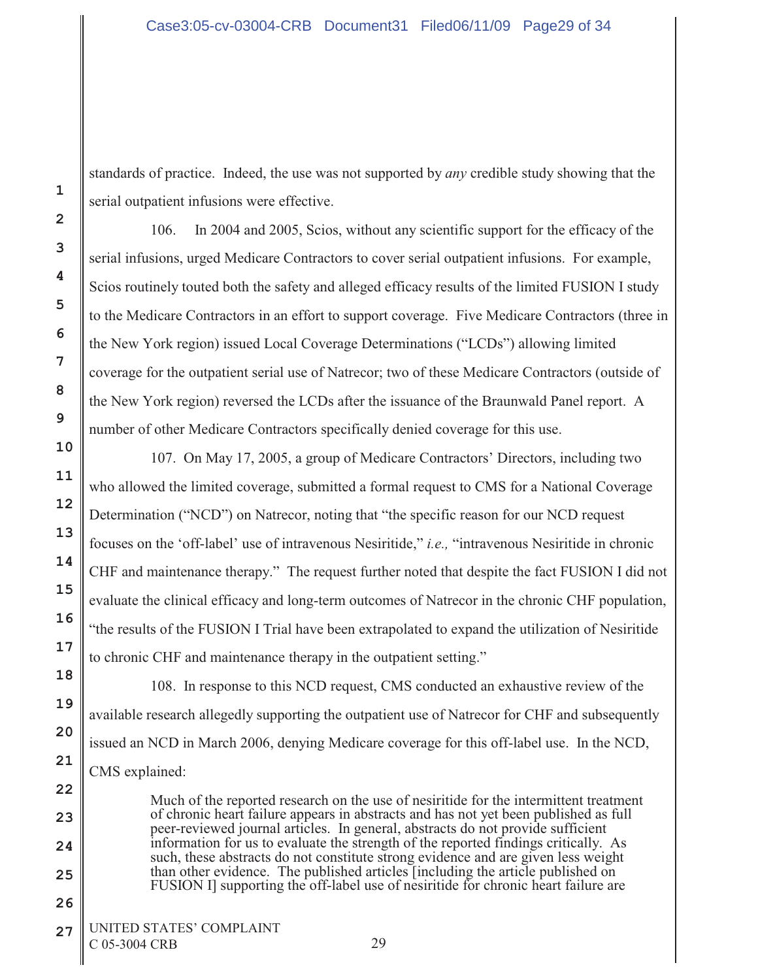standards of practice. Indeed, the use was not supported by *any* credible study showing that the serial outpatient infusions were effective.

106. In 2004 and 2005, Scios, without any scientific support for the efficacy of the serial infusions, urged Medicare Contractors to cover serial outpatient infusions. For example, Scios routinely touted both the safety and alleged efficacy results of the limited FUSION I study to the Medicare Contractors in an effort to support coverage. Five Medicare Contractors (three in the New York region) issued Local Coverage Determinations ("LCDs") allowing limited coverage for the outpatient serial use of Natrecor; two of these Medicare Contractors (outside of the New York region) reversed the LCDs after the issuance of the Braunwald Panel report. A number of other Medicare Contractors specifically denied coverage for this use.

107. On May 17, 2005, a group of Medicare Contractors' Directors, including two who allowed the limited coverage, submitted a formal request to CMS for a National Coverage Determination ("NCD") on Natrecor, noting that "the specific reason for our NCD request focuses on the 'off-label' use of intravenous Nesiritide," *i.e.,* "intravenous Nesiritide in chronic CHF and maintenance therapy." The request further noted that despite the fact FUSION I did not evaluate the clinical efficacy and long-term outcomes of Natrecor in the chronic CHF population, "the results of the FUSION I Trial have been extrapolated to expand the utilization of Nesiritide to chronic CHF and maintenance therapy in the outpatient setting."

108. In response to this NCD request, CMS conducted an exhaustive review of the available research allegedly supporting the outpatient use of Natrecor for CHF and subsequently issued an NCD in March 2006, denying Medicare coverage for this off-label use. In the NCD, CMS explained:

Much of the reported research on the use of nesiritide for the intermittent treatment of chronic heart failure appears in abstracts and has not yet been published as full peer-reviewed journal articles. In general, abstracts do not provide sufficient information for us to evaluate the strength of the reported findings critically. As such, these abstracts do not constitute strong evidence and are given less weight than other evidence. The published articles [including the article published on FUSION I] supporting the off-label use of nesiritide for chronic heart failure are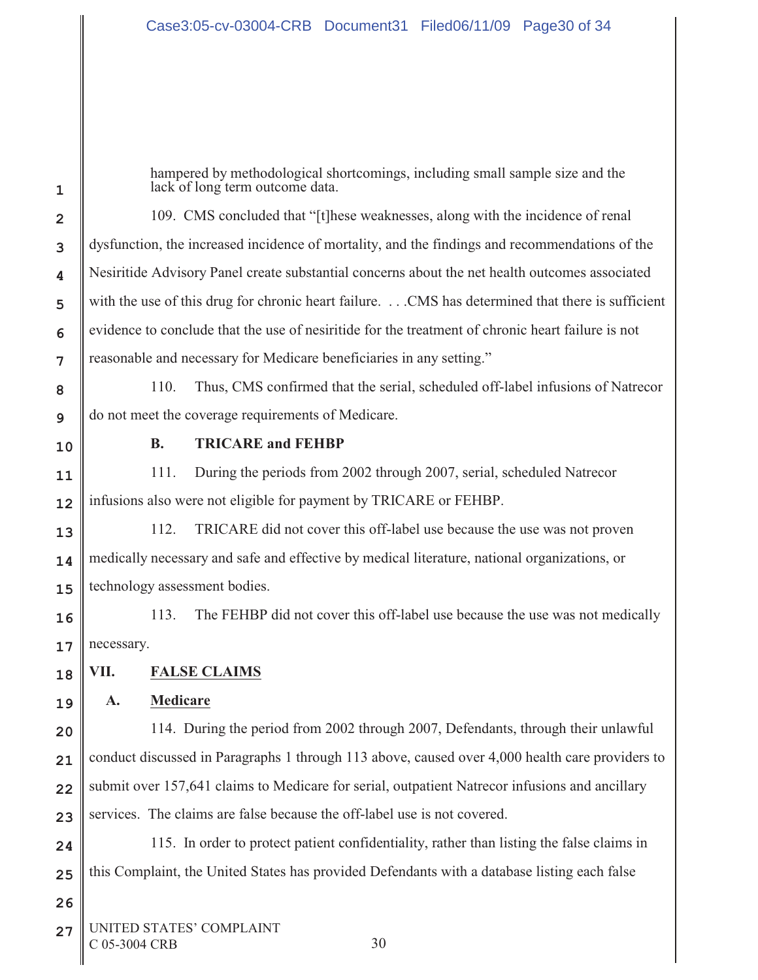hampered by methodological shortcomings, including small sample size and the lack of long term outcome data.

109. CMS concluded that "[t]hese weaknesses, along with the incidence of renal dysfunction, the increased incidence of mortality, and the findings and recommendations of the Nesiritide Advisory Panel create substantial concerns about the net health outcomes associated with the use of this drug for chronic heart failure. . . . CMS has determined that there is sufficient evidence to conclude that the use of nesiritide for the treatment of chronic heart failure is not reasonable and necessary for Medicare beneficiaries in any setting."

110. Thus, CMS confirmed that the serial, scheduled off-label infusions of Natrecor do not meet the coverage requirements of Medicare.

**1**

**2**

**3**

**4**

**5**

**6**

**7**

**8**

**9**

**10**

**11**

**12**

**18**

**19**

**20**

**21**

**23**

**26**

### **B. TRICARE and FEHBP**

111. During the periods from 2002 through 2007, serial, scheduled Natrecor infusions also were not eligible for payment by TRICARE or FEHBP.

**13 14 15** 112. TRICARE did not cover this off-label use because the use was not proven medically necessary and safe and effective by medical literature, national organizations, or technology assessment bodies.

**16 17** 113. The FEHBP did not cover this off-label use because the use was not medically necessary.

**VII. FALSE CLAIMS**

## **A. Medicare**

**22** 114. During the period from 2002 through 2007, Defendants, through their unlawful conduct discussed in Paragraphs 1 through 113 above, caused over 4,000 health care providers to submit over 157,641 claims to Medicare for serial, outpatient Natrecor infusions and ancillary services. The claims are false because the off-label use is not covered.

**24 25** 115. In order to protect patient confidentiality, rather than listing the false claims in this Complaint, the United States has provided Defendants with a database listing each false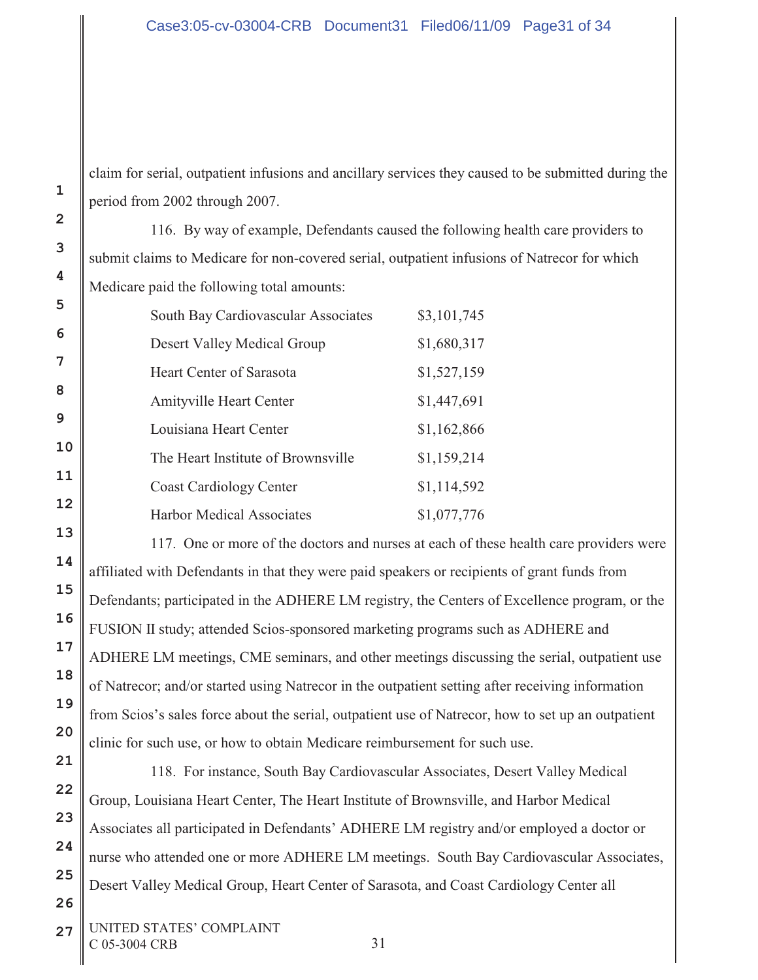claim for serial, outpatient infusions and ancillary services they caused to be submitted during the period from 2002 through 2007.

116. By way of example, Defendants caused the following health care providers to submit claims to Medicare for non-covered serial, outpatient infusions of Natrecor for which Medicare paid the following total amounts:

| South Bay Cardiovascular Associates | \$3,101,745 |
|-------------------------------------|-------------|
| Desert Valley Medical Group         | \$1,680,317 |
| Heart Center of Sarasota            | \$1,527,159 |
| <b>Amityville Heart Center</b>      | \$1,447,691 |
| Louisiana Heart Center              | \$1,162,866 |
| The Heart Institute of Brownsville  | \$1,159,214 |
| <b>Coast Cardiology Center</b>      | \$1,114,592 |
| <b>Harbor Medical Associates</b>    | \$1,077,776 |

117. One or more of the doctors and nurses at each of these health care providers were affiliated with Defendants in that they were paid speakers or recipients of grant funds from Defendants; participated in the ADHERE LM registry, the Centers of Excellence program, or the FUSION II study; attended Scios-sponsored marketing programs such as ADHERE and ADHERE LM meetings, CME seminars, and other meetings discussing the serial, outpatient use of Natrecor; and/or started using Natrecor in the outpatient setting after receiving information from Scios's sales force about the serial, outpatient use of Natrecor, how to set up an outpatient clinic for such use, or how to obtain Medicare reimbursement for such use.

118. For instance, South Bay Cardiovascular Associates, Desert Valley Medical Group, Louisiana Heart Center, The Heart Institute of Brownsville, and Harbor Medical Associates all participated in Defendants' ADHERE LM registry and/or employed a doctor or nurse who attended one or more ADHERE LM meetings. South Bay Cardiovascular Associates, Desert Valley Medical Group, Heart Center of Sarasota, and Coast Cardiology Center all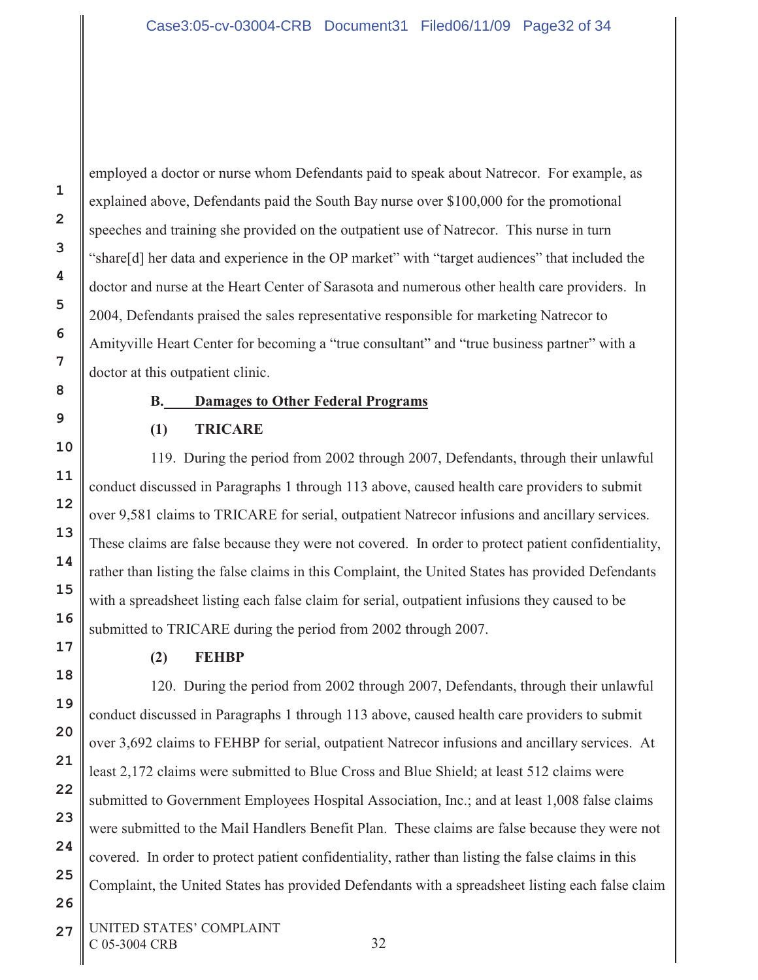employed a doctor or nurse whom Defendants paid to speak about Natrecor. For example, as explained above, Defendants paid the South Bay nurse over \$100,000 for the promotional speeches and training she provided on the outpatient use of Natrecor. This nurse in turn "share[d] her data and experience in the OP market" with "target audiences" that included the doctor and nurse at the Heart Center of Sarasota and numerous other health care providers. In 2004, Defendants praised the sales representative responsible for marketing Natrecor to Amityville Heart Center for becoming a "true consultant" and "true business partner" with a doctor at this outpatient clinic.

## **B. Damages to Other Federal Programs**

# **(1) TRICARE**

119. During the period from 2002 through 2007, Defendants, through their unlawful conduct discussed in Paragraphs 1 through 113 above, caused health care providers to submit over 9,581 claims to TRICARE for serial, outpatient Natrecor infusions and ancillary services. These claims are false because they were not covered. In order to protect patient confidentiality, rather than listing the false claims in this Complaint, the United States has provided Defendants with a spreadsheet listing each false claim for serial, outpatient infusions they caused to be submitted to TRICARE during the period from 2002 through 2007.

## **(2) FEHBP**

120. During the period from 2002 through 2007, Defendants, through their unlawful conduct discussed in Paragraphs 1 through 113 above, caused health care providers to submit over 3,692 claims to FEHBP for serial, outpatient Natrecor infusions and ancillary services. At least 2,172 claims were submitted to Blue Cross and Blue Shield; at least 512 claims were submitted to Government Employees Hospital Association, Inc.; and at least 1,008 false claims were submitted to the Mail Handlers Benefit Plan. These claims are false because they were not covered. In order to protect patient confidentiality, rather than listing the false claims in this Complaint, the United States has provided Defendants with a spreadsheet listing each false claim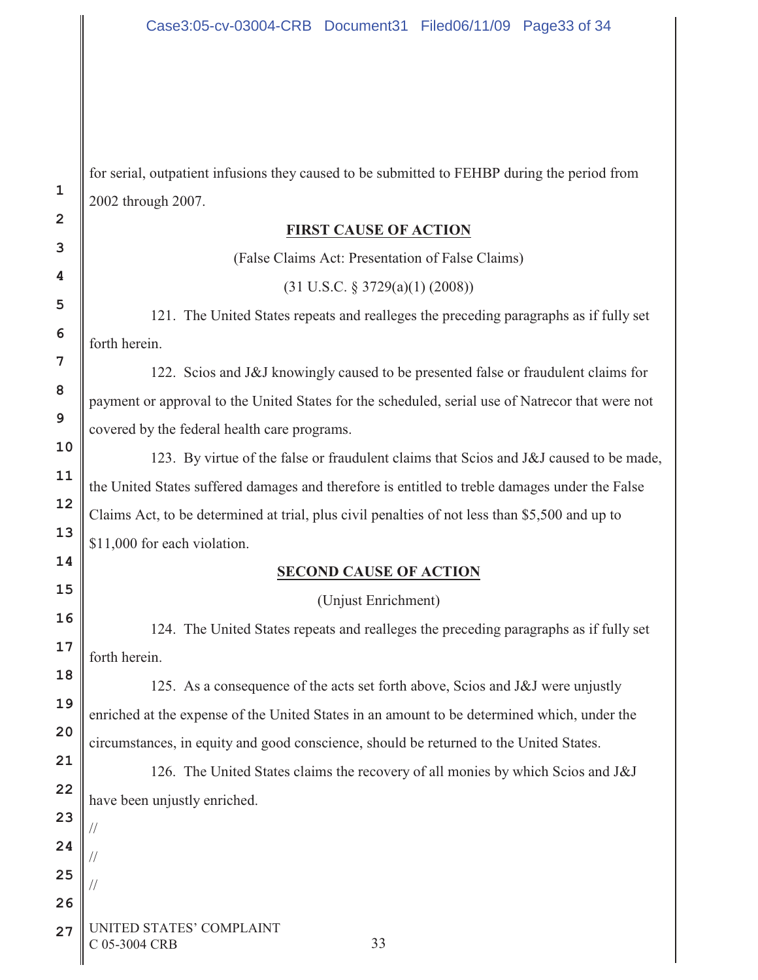for serial, outpatient infusions they caused to be submitted to FEHBP during the period from 2002 through 2007.

#### **FIRST CAUSE OF ACTION**

(False Claims Act: Presentation of False Claims)

(31 U.S.C. § 3729(a)(1) (2008))

121. The United States repeats and realleges the preceding paragraphs as if fully set forth herein.

122. Scios and J&J knowingly caused to be presented false or fraudulent claims for payment or approval to the United States for the scheduled, serial use of Natrecor that were not covered by the federal health care programs.

123. By virtue of the false or fraudulent claims that Scios and J&J caused to be made, the United States suffered damages and therefore is entitled to treble damages under the False Claims Act, to be determined at trial, plus civil penalties of not less than \$5,500 and up to \$11,000 for each violation.

## **SECOND CAUSE OF ACTION**

(Unjust Enrichment)

124. The United States repeats and realleges the preceding paragraphs as if fully set forth herein.

125. As a consequence of the acts set forth above, Scios and J&J were unjustly enriched at the expense of the United States in an amount to be determined which, under the circumstances, in equity and good conscience, should be returned to the United States.

126. The United States claims the recovery of all monies by which Scios and J&J have been unjustly enriched.

**27** UNITED STATES' COMPLAINT C 05-3004 CRB 33

//

//

//